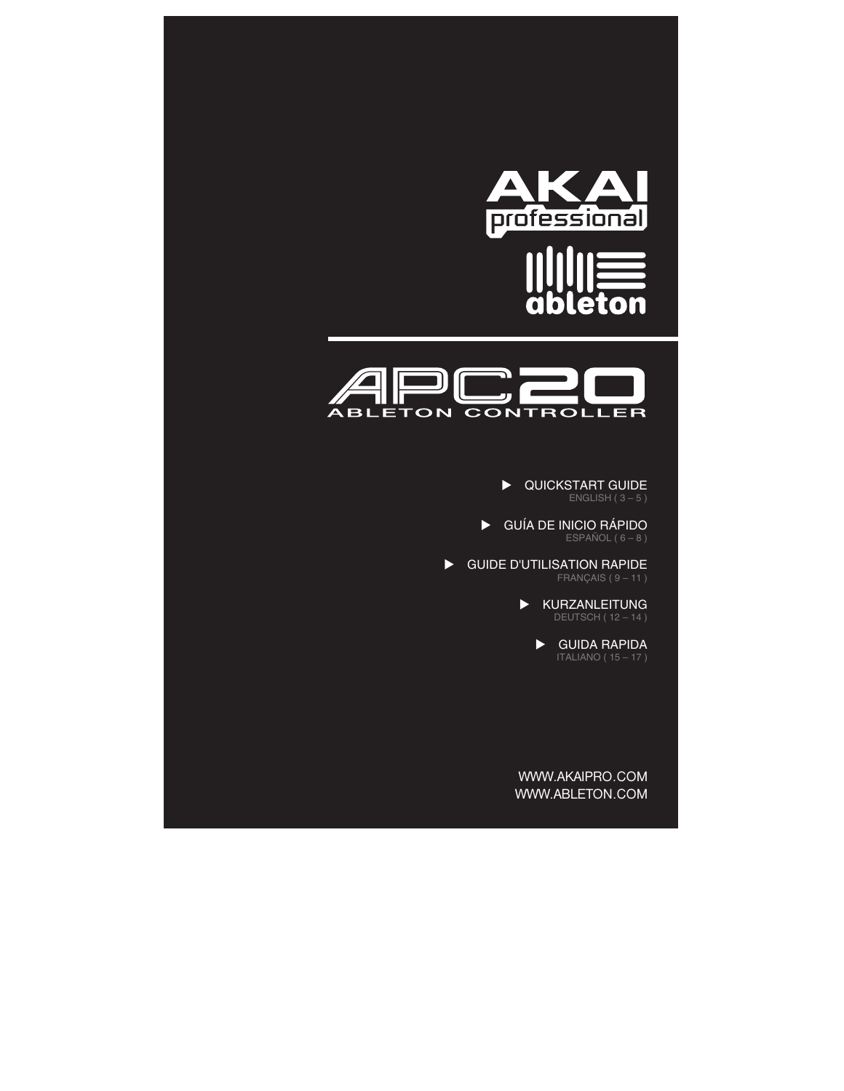



**DE QUICKSTART GUIDE** 

X GUÍA DE INICIO RÁPIDO ESPAÑOL ( $6 - 8$ )

**BE GUIDE D'UTILISATION RAPIDE** FRANÇAIS ( $9 - 11$ )

> $\blacktriangleright$  KURZANLEITUNG DEUTSCH ( 12 – 14 )

> > $\blacktriangleright$  GUIDA RAPIDA

WWW.AKAIPRO.COM WWW.ABLETON.COM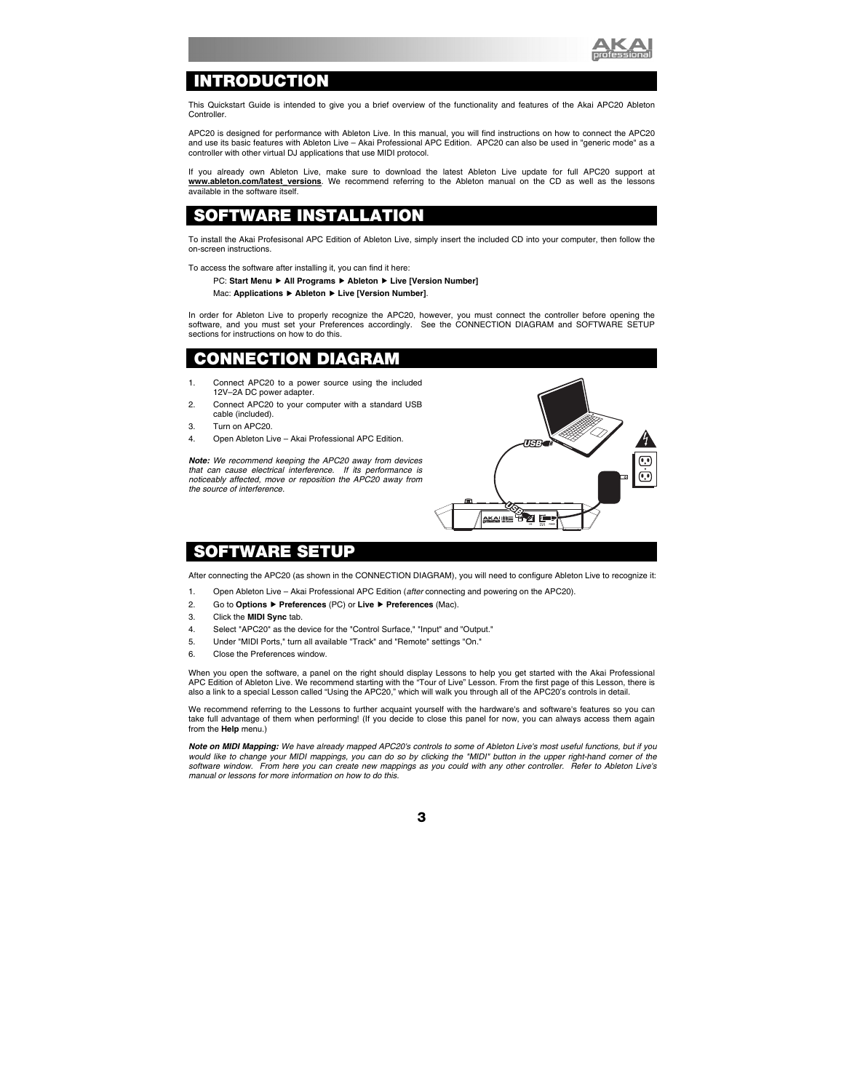

# **INTRODUCTION**

This Quickstart Guide is intended to give you a brief overview of the functionality and features of the Akai APC20 Ableton Controller.

APC20 is designed for performance with Ableton Live. In this manual, you will find instructions on how to connect the APC20 and use its basic features with Ableton Live – Akai Professional APC Edition. APC20 can also be used in "generic mode" as a controller with other virtual DJ applications that use MIDI protocol.

If you already own Ableton Live, make sure to download the latest Ableton Live update for full APC20 support at www.ableton.com/latest versions. We recommend referring to the Ableton manual on the CD as well as the lessons available in the software itself.

### OFTWARE INSTAL**I**

To install the Akai Profesisonal APC Edition of Ableton Live, simply insert the included CD into your computer, then follow the on-screen instructions.

To access the software after installing it, you can find it here:

#### PC: Start Menu ▶ All Programs ▶ Ableton ▶ Live [Version Number]

Mac: **Applications** f **Ableton** f **Live [Version Number]**.

In order for Ableton Live to properly recognize the APC20, however, you must connect the controller before opening the software, and you must set your Preferences accordingly. See the CONNECTION DIAGRAM and SOFTWARE SETUP sections for instructions on how to do this.

# **CONNECTION DIAGRAM**

- 1. Connect APC20 to a power source using the included 12V–2A DC power adapter.
- 2. Connect APC20 to your computer with a standard USB cable (included).
- 3. Turn on APC20.
- 4. Open Ableton Live Akai Professional APC Edition.

*Note: We recommend keeping the APC20 away from devices that can cause electrical interference. If its performance is noticeably affected, move or reposition the APC20 away from the source of interference.* 



### **SOFTWARE SETUP**

After connecting the APC20 (as shown in the CONNECTION DIAGRAM), you will need to configure Ableton Live to recognize it:

- 1. Open Ableton Live Akai Professional APC Edition (*after* connecting and powering on the APC20).
- 2. Go to **Options** f **Preferences** (PC) or **Live** f **Preferences** (Mac).
- 3. Click the **MIDI Sync** tab.
- 4. Select "APC20" as the device for the "Control Surface," "Input" and "Output."
- 5. Under "MIDI Ports," turn all available "Track" and "Remote" settings "On."
- 6. Close the Preferences window.

When you open the software, a panel on the right should display Lessons to help you get started with the Akai Professional APC Edition of Ableton Live. We recommend starting with the "Tour of Live" Lesson. From the first page of this Lesson, there is also a link to a special Lesson called "Using the APC20," which will walk you through all of the APC20's controls in detail.

We recommend referring to the Lessons to further acquaint yourself with the hardware's and software's features so you can take full advantage of them when performing! (If you decide to close this panel for now, you can always access them again from the **Help** menu.)

*Note on MIDI Mapping: We have already mapped APC20's controls to some of Ableton Live's most useful functions, but if you would like to change your MIDI mappings, you can do so by clicking the "MIDI" button in the upper right-hand corner of the software window. From here you can create new mappings as you could with any other controller. Refer to Ableton Live's manual or lessons for more information on how to do this.*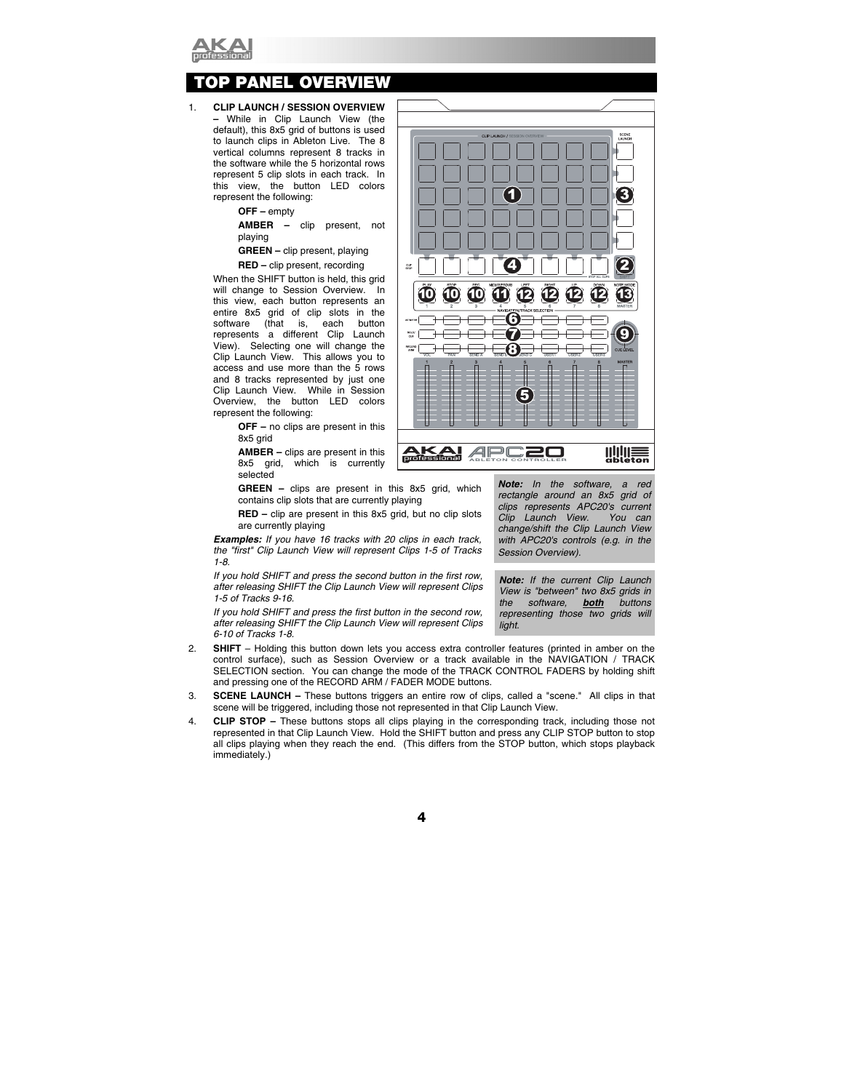

# *<b>OP PANEL OVERVIEW*

#### 1. **CLIP LAUNCH / SESSION OVERVIEW –** While in Clip Launch View (the default), this 8x5 grid of buttons is used to launch clips in Ableton Live. The 8 vertical columns represent 8 tracks in the software while the 5 horizontal rows represent 5 clip slots in each track. In this view, the button LED colors represent the following:

**OFF –** empty

**AMBER –** clip present, not playing

**GREEN –** clip present, playing

**RED –** clip present, recording

When the SHIFT button is held, this grid will change to Session Overview. In this view, each button represents an entire 8x5 grid of clip slots in the software (that is, each button represents a different Clip Launch View). Selecting one will change the Clip Launch View. This allows you to access and use more than the 5 rows and 8 tracks represented by just one Clip Launch View. While in Session Overview, the button LED colors represent the following:

> **OFF –** no clips are present in this 8x5 grid

> **AMBER –** clips are present in this 8x5 grid, which is currently selected

**GREEN –** clips are present in this 8x5 grid, which contains clip slots that are currently playing

**RED –** clip are present in this 8x5 grid, but no clip slots are currently playing

*Examples: If you have 16 tracks with 20 clips in each track, the "first" Clip Launch View will represent Clips 1-5 of Tracks 1-8.* 

*If you hold SHIFT and press the second button in the first row, after releasing SHIFT the Clip Launch View will represent Clips 1-5 of Tracks 9-16.* 

*If you hold SHIFT and press the first button in the second row, after releasing SHIFT the Clip Launch View will represent Clips 6-10 of Tracks 1-8.* 

- 2. **SHIFT**  Holding this button down lets you access extra controller features (printed in amber on the control surface), such as Session Overview or a track available in the NAVIGATION / TRACK SELECTION section. You can change the mode of the TRACK CONTROL FADERS by holding shift and pressing one of the RECORD ARM / FADER MODE buttons.
- 3. **SCENE LAUNCH** These buttons triggers an entire row of clips, called a "scene." All clips in that scene will be triggered, including those not represented in that Clip Launch View.
- 4. **CLIP STOP –** These buttons stops all clips playing in the corresponding track, including those not represented in that Clip Launch View. Hold the SHIFT button and press any CLIP STOP button to stop all clips playing when they reach the end. (This differs from the STOP button, which stops playback immediately.)



*Note: In the software, a red rectangle around an 8x5 grid of clips represents APC20's current Clip Launch View. You can change/shift the Clip Launch View with APC20's controls (e.g. in the Session Overview).* 

*Note: If the current Clip Launch View is "between" two 8x5 grids in the software, both buttons representing those two grids will light.*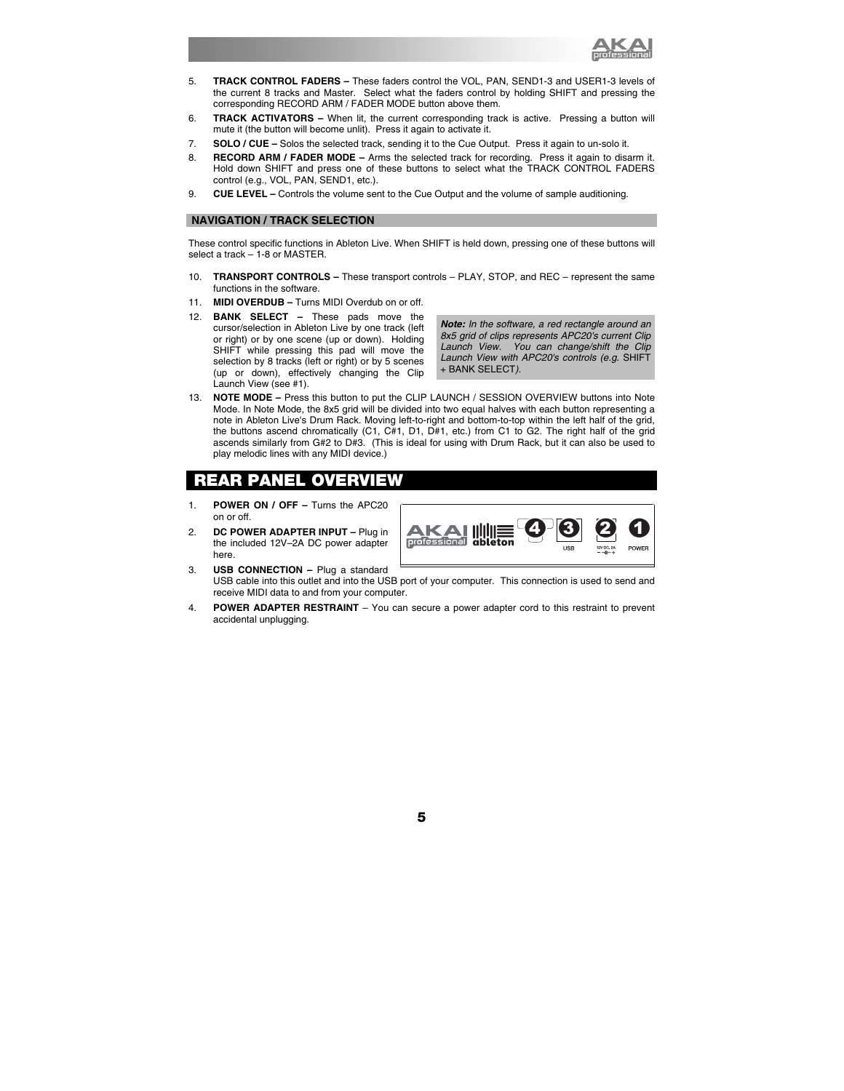

- 5. **TRACK CONTROL FADERS** These faders control the VOL, PAN, SEND1-3 and USER1-3 levels of the current 8 tracks and Master. Select what the faders control by holding SHIFT and pressing the corresponding RECORD ARM / FADER MODE button above them.
- 6. **TRACK ACTIVATORS** When lit, the current corresponding track is active. Pressing a button will mute it (the button will become unlit). Press it again to activate it.
- 7. **SOLO / CUE** Solos the selected track, sending it to the Cue Output. Press it again to un-solo it.
- 8. **RECORD ARM / FADER MODE** Arms the selected track for recording. Press it again to disarm it. Hold down SHIFT and press one of these buttons to select what the TRACK CONTROL FADERS control (e.g., VOL, PAN, SEND1, etc.).
- 9. **CUE LEVEL** Controls the volume sent to the Cue Output and the volume of sample auditioning.

### **NAVIGATION / TRACK SELECTION**

These control specific functions in Ableton Live. When SHIFT is held down, pressing one of these buttons will select a track – 1-8 or MASTER.

- 10. **TRANSPORT CONTROLS** These transport controls PLAY, STOP, and REC represent the same functions in the software.
- 11. **MIDI OVERDUB –** Turns MIDI Overdub on or off.
- 12. **BANK SELECT** These pads move the cursor/selection in Ableton Live by one track (left or right) or by one scene (up or down). Holding SHIFT while pressing this pad will move the selection by 8 tracks (left or right) or by 5 scenes (up or down), effectively changing the Clip Launch View (see #1).

*Note: In the software, a red rectangle around an 8x5 grid of clips represents APC20's current Clip Launch View. You can change/shift the Clip Launch View with APC20's controls (e.g.* SHIFT + BANK SELECT*).* 

13. **NOTE MODE –** Press this button to put the CLIP LAUNCH / SESSION OVERVIEW buttons into Note Mode. In Note Mode, the 8x5 grid will be divided into two equal halves with each button representing a note in Ableton Live's Drum Rack. Moving left-to-right and bottom-to-top within the left half of the grid, the buttons ascend chromatically (C1, C#1, D1, D#1, etc.) from C1 to G2. The right half of the grid ascends similarly from G#2 to D#3.(This is ideal for using with Drum Rack, but it can also be used to play melodic lines with any MIDI device.)

# **REAR PANEL OVERVIEW**

- 1. **POWER ON / OFF** Turns the APC20 on or off.
- 2. **DC POWER ADAPTER INPUT** Plug in the included 12V–2A DC power adapter here.
- **a** 3 2 4 AК professional
- 3. **USB CONNECTION –** Plug a standard USB cable into this outlet and into the USB port of your computer. This connection is used to send and receive MIDI data to and from your computer.
- 4. **POWER ADAPTER RESTRAINT** You can secure a power adapter cord to this restraint to prevent accidental unplugging.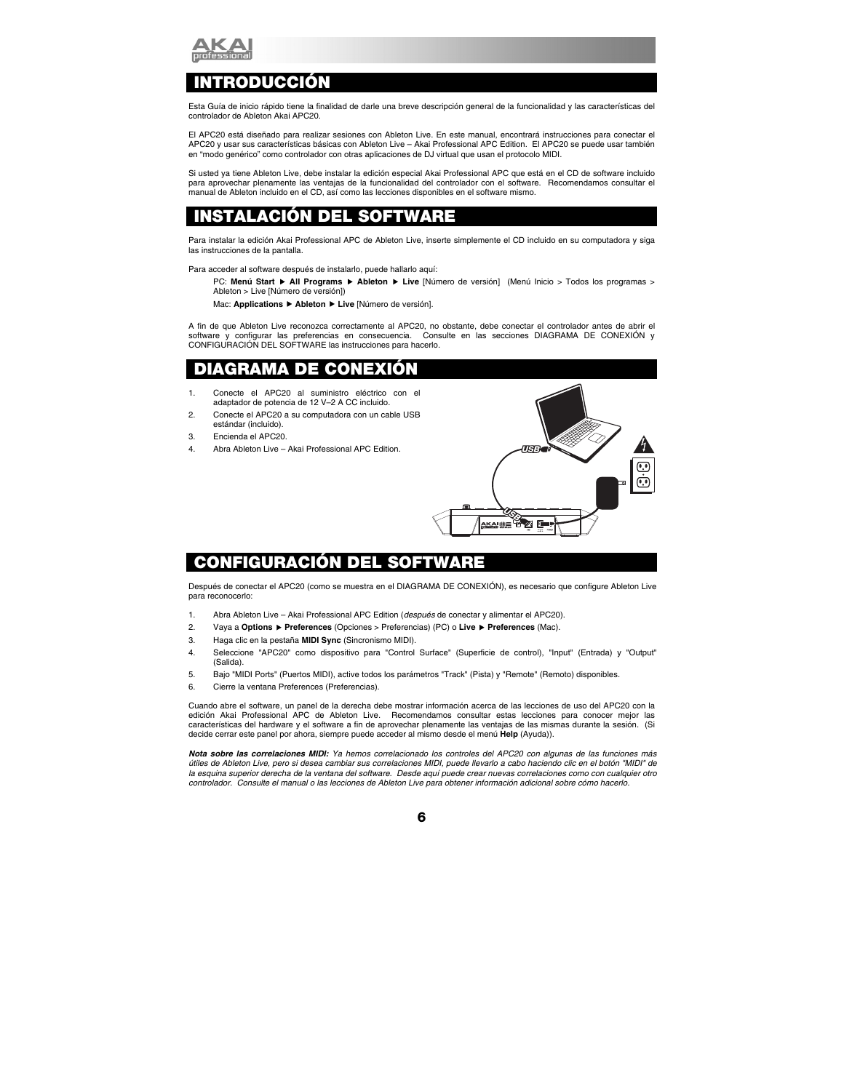

# **INTRODUCCIÓN**

Esta Guía de inicio rápido tiene la finalidad de darle una breve descripción general de la funcionalidad y las características del controlador de Ableton Akai APC20.

El APC20 está diseñado para realizar sesiones con Ableton Live. En este manual, encontrará instrucciones para conectar el APC20 y usar sus características básicas con Ableton Live – Akai Professional APC Edition. El APC20 se puede usar también en "modo genérico" como controlador con otras aplicaciones de DJ virtual que usan el protocolo MIDI.

Si usted ya tiene Ableton Live, debe instalar la edición especial Akai Professional APC que está en el CD de software incluido para aprovechar plenamente las ventajas de la funcionalidad del controlador con el software. Recomendamos consultar el manual de Ableton incluido en el CD, así como las lecciones disponibles en el software mismo.

### **INSTALACIÓN DEL SOFTWARE**

Para instalar la edición Akai Professional APC de Ableton Live, inserte simplemente el CD incluido en su computadora y siga las instrucciones de la pantalla.

Para acceder al software después de instalarlo, puede hallarlo aquí:

PC: Menú Start ▶ All Programs ▶ Ableton ▶ Live [Número de versión] (Menú Inicio > Todos los programas > Ableton > Live [Número de versión])

Mac: **Applications** f **Ableton** f **Live** [Número de versión].

A fin de que Ableton Live reconozca correctamente al APC20, no obstante, debe conectar el controlador antes de abrir el software y configurar las preferencias en consecuencia. Consulte en las secciones DIAGRAMA DE CONEXIÓN y CONFIGURACIÓN DEL SOFTWARE las instrucciones para hacerlo.

# **DIAGRAMA DE CONEXIÓN**

- 1. Conecte el APC20 al suministro eléctrico con el adaptador de potencia de 12 V–2 A CC incluido.
- 2. Conecte el APC20 a su computadora con un cable USB estándar (incluido).
- 3. Encienda el APC20.
- 4. Abra Ableton Live Akai Professional APC Edition.



# **CONFIGURACIÓN DEL SOFTWARE**

Después de conectar el APC20 (como se muestra en el DIAGRAMA DE CONEXIÓN), es necesario que configure Ableton Live para reconocerlo:

- 1. Abra Ableton Live Akai Professional APC Edition (*después* de conectar y alimentar el APC20).
- 2. Vaya a **Options** f **Preferences** (Opciones > Preferencias) (PC) o **Live** f **Preferences** (Mac).
- 3. Haga clic en la pestaña **MIDI Sync** (Sincronismo MIDI).
- 4. Seleccione "APC20" como dispositivo para "Control Surface" (Superficie de control), "Input" (Entrada) y "Output" (Salida).
- 5. Bajo "MIDI Ports" (Puertos MIDI), active todos los parámetros "Track" (Pista) y "Remote" (Remoto) disponibles.
- 6. Cierre la ventana Preferences (Preferencias).

Cuando abre el software, un panel de la derecha debe mostrar información acerca de las lecciones de uso del APC20 con la edición Akai Professional APC de Ableton Live. Recomendamos consultar estas lecciones para conocer mejor las características del hardware y el software a fin de aprovechar plenamente las ventajas de las mismas durante la sesión. (Si decide cerrar este panel por ahora, siempre puede acceder al mismo desde el menú **Help** (Ayuda)).

*Nota sobre las correlaciones MIDI: Ya hemos correlacionado los controles del APC20 con algunas de las funciones más útiles de Ableton Live, pero si desea cambiar sus correlaciones MIDI, puede llevarlo a cabo haciendo clic en el botón "MIDI" de la esquina superior derecha de la ventana del software. Desde aquí puede crear nuevas correlaciones como con cualquier otro controlador. Consulte el manual o las lecciones de Ableton Live para obtener información adicional sobre cómo hacerlo.*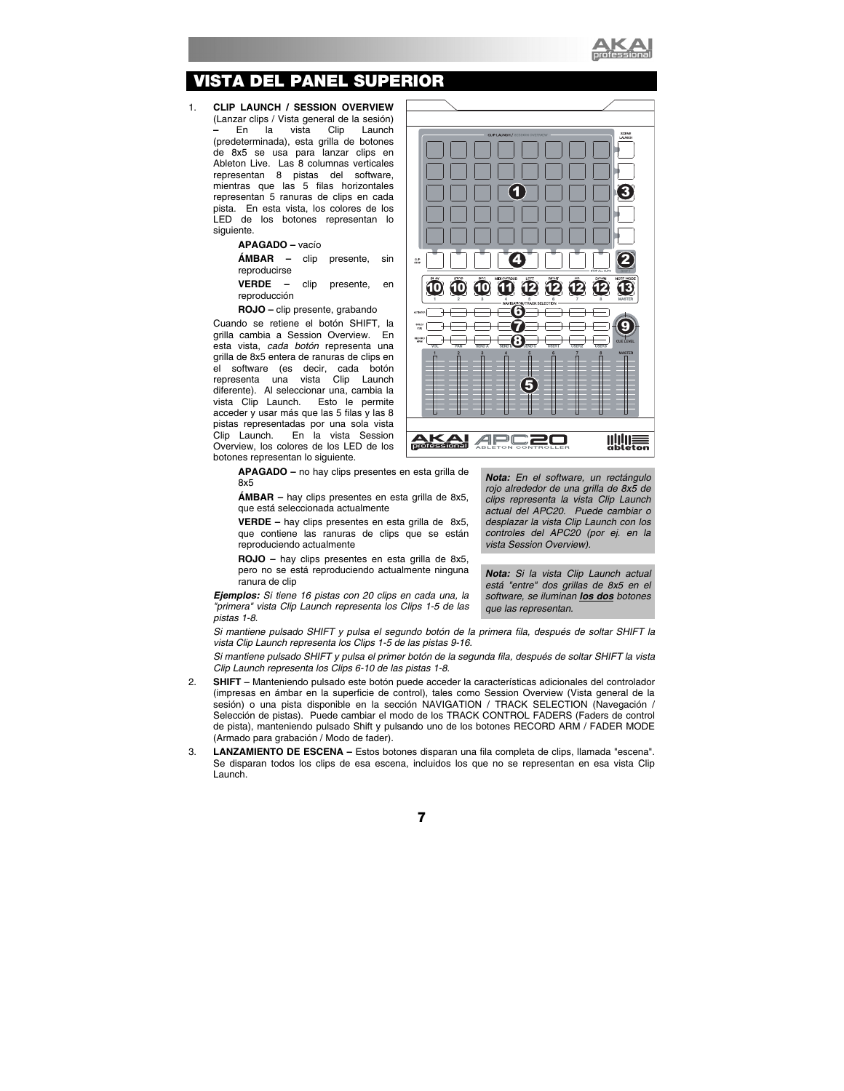

# **ISTA DEL PANEL SUPERIOR**

1. **CLIP LAUNCH / SESSION OVERVIEW**  (Lanzar clips / Vista general de la sesión)<br>- En la vista Clip Launch **–** En la vista Clip Launch (predeterminada), esta grilla de botones de 8x5 se usa para lanzar clips en Ableton Live. Las 8 columnas verticales representan 8 pistas del software, mientras que las 5 filas horizontales representan 5 ranuras de clips en cada pista. En esta vista, los colores de los LED de los botones representan lo siguiente.

**APAGADO –** vacío

**ÁMBAR –** clip presente, sin reproducirse

**VERDE –** clip presente, en reproducción

**ROJO –** clip presente, grabando

Cuando se retiene el botón SHIFT, la grilla cambia a Session Overview. En esta vista, *cada botón* representa una grilla de 8x5 entera de ranuras de clips en el software (es decir, cada botón representa una vista Clip Launch diferente). Al seleccionar una, cambia la<br>vista Clip Launch. Esto le permite vista Clip Launch. acceder y usar más que las 5 filas y las 8 pistas representadas por una sola vista Clip Launch. En la vista Session Overview, los colores de los LED de los botones representan lo siguiente.



**APAGADO –** no hay clips presentes en esta grilla de 8x5

**ÁMBAR –** hay clips presentes en esta grilla de 8x5, que está seleccionada actualmente

**VERDE –** hay clips presentes en esta grilla de 8x5, que contiene las ranuras de clips que se están reproduciendo actualmente

**ROJO –** hay clips presentes en esta grilla de 8x5, pero no se está reproduciendo actualmente ninguna ranura de clip

*Ejemplos: Si tiene 16 pistas con 20 clips en cada una, la "primera" vista Clip Launch representa los Clips 1-5 de las pistas 1-8.* 

*Nota: En el software, un rectángulo rojo alrededor de una grilla de 8x5 de clips representa la vista Clip Launch actual del APC20. Puede cambiar o desplazar la vista Clip Launch con los controles del APC20 (por ej. en la vista Session Overview).*

*Nota: Si la vista Clip Launch actual está "entre" dos grillas de 8x5 en el software, se iluminan los dos botones que las representan.* 

*Si mantiene pulsado SHIFT y pulsa el segundo botón de la primera fila, después de soltar SHIFT la vista Clip Launch representa los Clips 1-5 de las pistas 9-16.* 

*Si mantiene pulsado SHIFT y pulsa el primer botón de la segunda fila, después de soltar SHIFT la vista Clip Launch representa los Clips 6-10 de las pistas 1-8.* 

- 2. **SHIFT**  Manteniendo pulsado este botón puede acceder la características adicionales del controlador (impresas en ámbar en la superficie de control), tales como Session Overview (Vista general de la sesión) o una pista disponible en la sección NAVIGATION / TRACK SELECTION (Navegación / Selección de pistas). Puede cambiar el modo de los TRACK CONTROL FADERS (Faders de control de pista), manteniendo pulsado Shift y pulsando uno de los botones RECORD ARM / FADER MODE (Armado para grabación / Modo de fader).
- 3. **LANZAMIENTO DE ESCENA** Estos botones disparan una fila completa de clips, llamada "escena". Se disparan todos los clips de esa escena, incluidos los que no se representan en esa vista Clip Launch.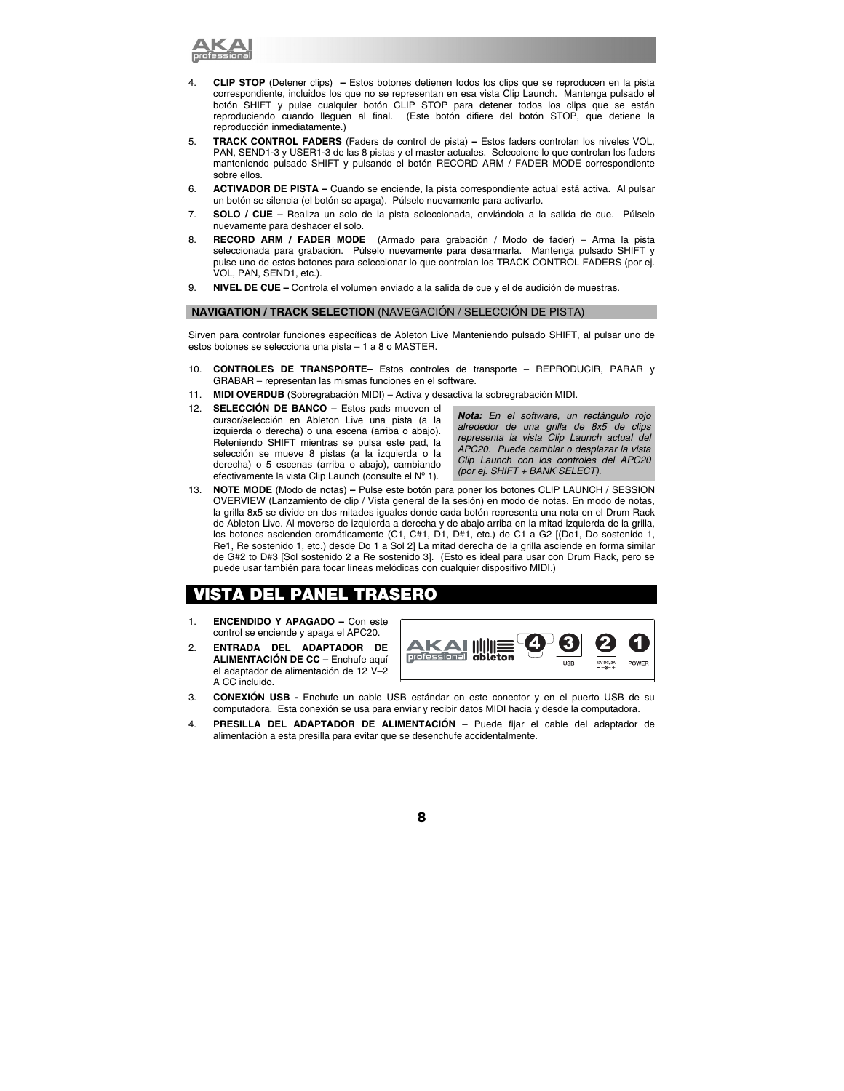

- 4. **CLIP STOP** (Detener clips) **–** Estos botones detienen todos los clips que se reproducen en la pista correspondiente, incluidos los que no se representan en esa vista Clip Launch. Mantenga pulsado el botón SHIFT y pulse cualquier botón CLIP STOP para detener todos los clips que se están reproduciendo cuando lleguen al final. (Este botón difiere del botón STOP, que detiene la reproducción inmediatamente.)
- 5. **TRACK CONTROL FADERS** (Faders de control de pista) Estos faders controlan los niveles VOL, PAN, SEND1-3 y USER1-3 de las 8 pistas y el master actuales. Seleccione lo que controlan los faders manteniendo pulsado SHIFT y pulsando el botón RECORD ARM / FADER MODE correspondiente sobre ellos.
- 6. **ACTIVADOR DE PISTA** Cuando se enciende, la pista correspondiente actual está activa. Al pulsar un botón se silencia (el botón se apaga). Púlselo nuevamente para activarlo.
- 7. **SOLO / CUE** Realiza un solo de la pista seleccionada, enviándola a la salida de cue. Púlselo nuevamente para deshacer el solo.
- 8. **RECORD ARM / FADER MODE** (Armado para grabación / Modo de fader) Arma la pista seleccionada para grabación. Púlselo nuevamente para desarmarla. Mantenga pulsado SHIFT y pulse uno de estos botones para seleccionar lo que controlan los TRACK CONTROL FADERS (por ej. VOL, PAN, SEND1, etc.).
- 9. **NIVEL DE CUE** Controla el volumen enviado a la salida de cue y el de audición de muestras.

### **NAVIGATION / TRACK SELECTION** (NAVEGACIÓN / SELECCIÓN DE PISTA)

Sirven para controlar funciones específicas de Ableton Live Manteniendo pulsado SHIFT, al pulsar uno de estos botones se selecciona una pista – 1 a 8 o MASTER.

- 10. **CONTROLES DE TRANSPORTE–** Estos controles de transporte REPRODUCIR, PARAR y GRABAR – representan las mismas funciones en el software.
- 11. **MIDI OVERDUB** (Sobregrabación MIDI) Activa y desactiva la sobregrabación MIDI.
- 12. **SELECCIÓN DE BANCO** Estos pads mueven el cursor/selección en Ableton Live una pista (a la izquierda o derecha) o una escena (arriba o abajo). Reteniendo SHIFT mientras se pulsa este pad, la selección se mueve 8 pistas (a la izquierda o la derecha) o 5 escenas (arriba o abajo), cambiando efectivamente la vista Clip Launch (consulte el Nº 1).

*Nota: En el software, un rectángulo rojo alrededor de una grilla de 8x5 de clips representa la vista Clip Launch actual del APC20. Puede cambiar o desplazar la vista Clip Launch con los controles del APC20 (por ej. SHIFT + BANK SELECT).*

13. **NOTE MODE** (Modo de notas) **–** Pulse este botón para poner los botones CLIP LAUNCH / SESSION OVERVIEW (Lanzamiento de clip / Vista general de la sesión) en modo de notas. En modo de notas, la grilla 8x5 se divide en dos mitades iguales donde cada botón representa una nota en el Drum Rack de Ableton Live. Al moverse de izquierda a derecha y de abajo arriba en la mitad izquierda de la grilla, los botones ascienden cromáticamente (C1, C#1, D1, D#1, etc.) de C1 a G2 [(Do1, Do sostenido 1, Re1, Re sostenido 1, etc.) desde Do 1 a Sol 2] La mitad derecha de la grilla asciende en forma similar de G#2 to D#3 [Sol sostenido 2 a Re sostenido 3].(Esto es ideal para usar con Drum Rack, pero se puede usar también para tocar líneas melódicas con cualquier dispositivo MIDI.)

# *DEL PANEL TRASERO*

- 1. **ENCENDIDO Y APAGADO** Con este control se enciende y apaga el APC20.
- 2. **ENTRADA DEL ADAPTADOR DE ALIMENTACIÓN DE CC –** Enchufe aquí el adaptador de alimentación de 12 V–2 A CC incluido.



- 3. **CONEXIÓN USB** Enchufe un cable USB estándar en este conector y en el puerto USB de su computadora. Esta conexión se usa para enviar y recibir datos MIDI hacia y desde la computadora.
- 4. **PRESILLA DEL ADAPTADOR DE ALIMENTACIÓN** Puede fijar el cable del adaptador de alimentación a esta presilla para evitar que se desenchufe accidentalmente.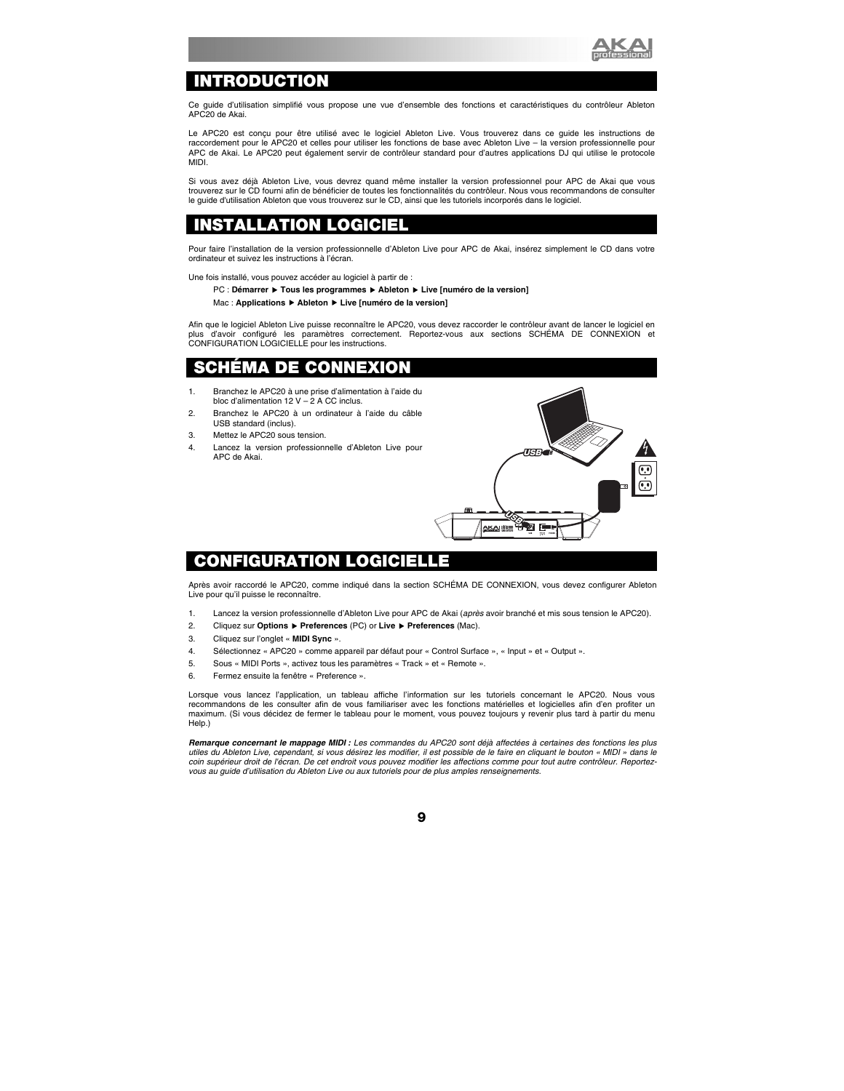

# **INTRODUCTION**

Ce guide d'utilisation simplifié vous propose une vue d'ensemble des fonctions et caractéristiques du contrôleur Ableton APC20 de Akai.

Le APC20 est conçu pour être utilisé avec le logiciel Ableton Live. Vous trouverez dans ce guide les instructions de raccordement pour le APC20 et celles pour utiliser les fonctions de base avec Ableton Live – la version professionnelle pour APC de Akai. Le APC20 peut également servir de contrôleur standard pour d'autres applications DJ qui utilise le protocole MIDI.

Si vous avez déjà Ableton Live, vous devrez quand même installer la version professionnel pour APC de Akai que vous trouverez sur le CD fourni afin de bénéficier de toutes les fonctionnalités du contrôleur. Nous vous recommandons de consulter le guide d'utilisation Ableton que vous trouverez sur le CD, ainsi que les tutoriels incorporés dans le logiciel.

# **INSTALLATION LOGICIEL**

Pour faire l'installation de la version professionnelle d'Ableton Live pour APC de Akai, insérez simplement le CD dans votre ordinateur et suivez les instructions à l'écran.

Une fois installé, vous pouvez accéder au logiciel à partir de :

#### PC : Démarrer ▶ Tous les programmes ▶ Ableton ▶ Live [numéro de la version]

#### Mac : **Applications** f **Ableton** f **Live [numéro de la version]**

Afin que le logiciel Ableton Live puisse reconnaître le APC20, vous devez raccorder le contrôleur avant de lancer le logiciel en plus d'avoir configuré les paramètres correctement. Reportez-vous aux sections SCHÉMA DE CONNEXION et CONFIGURATION LOGICIELLE pour les instructions.

# DE CONNEXION

- 1. Branchez le APC20 à une prise d'alimentation à l'aide du bloc d'alimentation 12  $V - 2$  A CC inclus.
- 2. Branchez le APC20 à un ordinateur à l'aide du câble USB standard (inclus).
- 3. Mettez le APC20 sous tension.
- 4. Lancez la version professionnelle d'Ableton Live pour APC de Akai.



# **CONFIGURATION LOGICIELLE**

Après avoir raccordé le APC20, comme indiqué dans la section SCHÉMA DE CONNEXION, vous devez configurer Ableton Live pour qu'il puisse le reconnaître.

- 1. Lancez la version professionnelle d'Ableton Live pour APC de Akai (*après* avoir branché et mis sous tension le APC20).
- 2. Cliquez sur **Options** f **Preferences** (PC) or **Live** f **Preferences** (Mac).
- 3. Cliquez sur l'onglet « **MIDI Sync** ».
- 4. Sélectionnez « APC20 » comme appareil par défaut pour « Control Surface », « Input » et « Output ».
- 5. Sous « MIDI Ports », activez tous les paramètres « Track » et « Remote ».
- 6. Fermez ensuite la fenêtre « Preference ».

Lorsque vous lancez l'application, un tableau affiche l'information sur les tutoriels concernant le APC20. Nous vous recommandons de les consulter afin de vous familiariser avec les fonctions matérielles et logicielles afin d'en profiter un maximum. (Si vous décidez de fermer le tableau pour le moment, vous pouvez toujours y revenir plus tard à partir du menu Help.)

*Remarque concernant le mappage MIDI : Les commandes du APC20 sont déjà affectées à certaines des fonctions les plus utiles du Ableton Live, cependant, si vous désirez les modifier, il est possible de le faire en cliquant le bouton « MIDI » dans le coin supérieur droit de l'écran. De cet endroit vous pouvez modifier les affections comme pour tout autre contrôleur. Reportezvous au guide d'utilisation du Ableton Live ou aux tutoriels pour de plus amples renseignements.*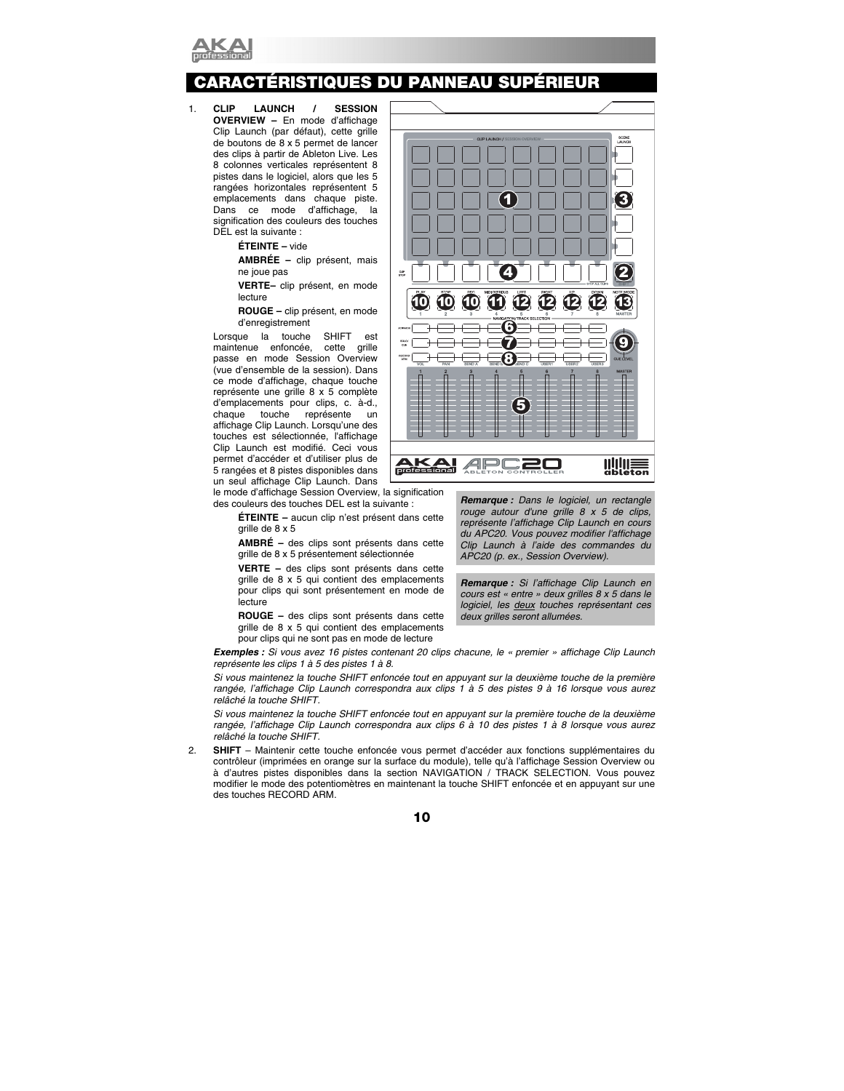

# **CARACTÉRISTIQUES DU PANNEAU SUPÉRIEUR**

1. **CLIP LAUNCH / SESSION OVERVIEW –** En mode d'affichage Clip Launch (par défaut), cette grille de boutons de 8 x 5 permet de lancer des clips à partir de Ableton Live. Les 8 colonnes verticales représentent 8 pistes dans le logiciel, alors que les 5 rangées horizontales représentent 5 emplacements dans chaque piste. Dans ce mode d'affichage, la signification des couleurs des touches DEL est la suivante :

**ÉTEINTE –** vide

**AMBRÉE –** clip présent, mais ne joue pas

**VERTE–** clip présent, en mode lecture

**ROUGE –** clip présent, en mode d'enregistrement

Lorsque la touche SHIFT est maintenue enfoncée, cette grille passe en mode Session Overview (vue d'ensemble de la session). Dans ce mode d'affichage, chaque touche représente une grille 8 x 5 complète d'emplacements pour clips, c. à-d., chaque touche représente un affichage Clip Launch. Lorsqu'une des touches est sélectionnée, l'affichage Clip Launch est modifié. Ceci vous permet d'accéder et d'utiliser plus de 5 rangées et 8 pistes disponibles dans un seul affichage Clip Launch. Dans

le mode d'affichage Session Overview, la signification des couleurs des touches DEL est la suivante :

> **ÉTEINTE –** aucun clip n'est présent dans cette grille de 8 x 5

> **AMBRÉ –** des clips sont présents dans cette grille de 8 x 5 présentement sélectionnée

> **VERTE –** des clips sont présents dans cette grille de 8 x 5 qui contient des emplacements pour clips qui sont présentement en mode de lecture

> **ROUGE –** des clips sont présents dans cette grille de 8 x 5 qui contient des emplacements pour clips qui ne sont pas en mode de lecture



*Remarque : Dans le logiciel, un rectangle rouge autour d'une grille 8 x 5 de clips, représente l'affichage Clip Launch en cours du APC20. Vous pouvez modifier l'affichage Clip Launch à l'aide des commandes du APC20 (p. ex., Session Overview).* 

*Remarque : Si l'affichage Clip Launch en cours est « entre » deux grilles 8 x 5 dans le logiciel, les deux touches représentant ces deux grilles seront allumées.*

*Exemples : Si vous avez 16 pistes contenant 20 clips chacune, le « premier » affichage Clip Launch représente les clips 1 à 5 des pistes 1 à 8.* 

*Si vous maintenez la touche SHIFT enfoncée tout en appuyant sur la deuxième touche de la première*  rangée, l'affichage Clip Launch correspondra aux clips 1 à 5 des pistes 9 à 16 lorsque vous aurez *relâché la touche SHIFT.* 

*Si vous maintenez la touche SHIFT enfoncée tout en appuyant sur la première touche de la deuxième rangée, l'affichage Clip Launch correspondra aux clips 6 à 10 des pistes 1 à 8 lorsque vous aurez relâché la touche SHIFT.* 

2. **SHIFT** – Maintenir cette touche enfoncée vous permet d'accéder aux fonctions supplémentaires du contrôleur (imprimées en orange sur la surface du module), telle qu'à l'affichage Session Overview ou à d'autres pistes disponibles dans la section NAVIGATION / TRACK SELECTION. Vous pouvez modifier le mode des potentiomètres en maintenant la touche SHIFT enfoncée et en appuyant sur une des touches RECORD ARM.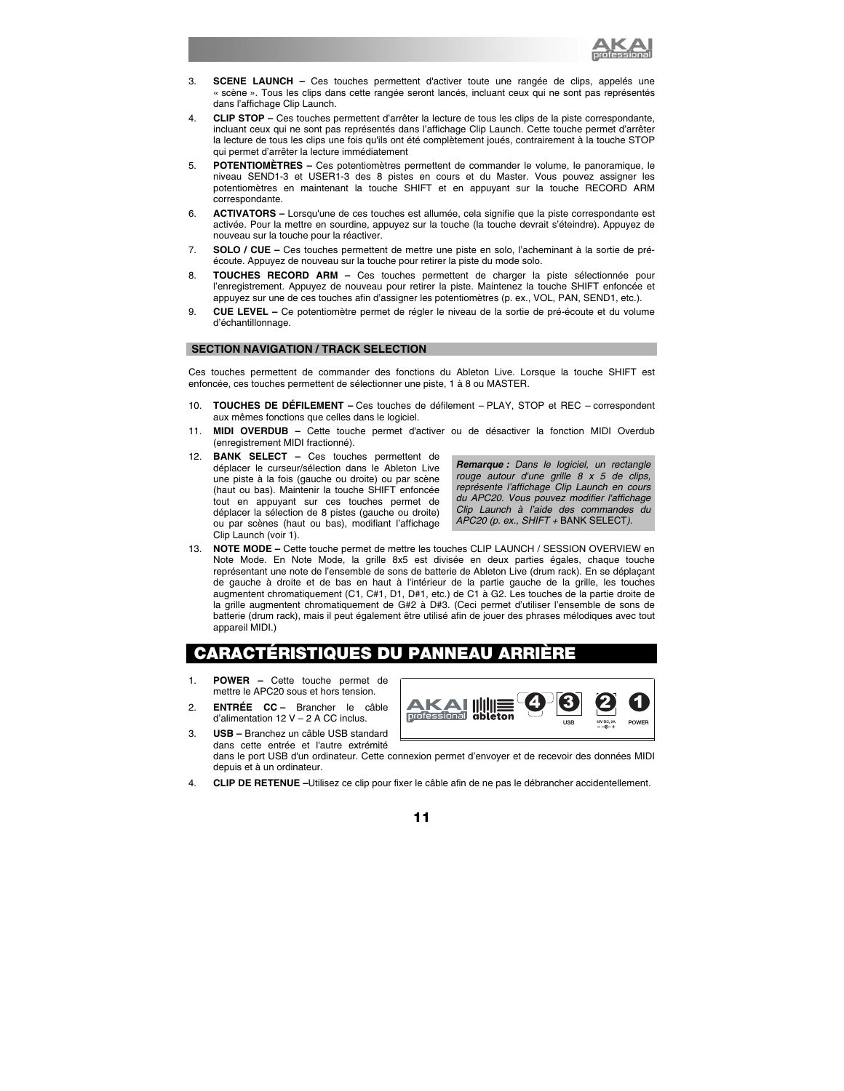

- 3. **SCENE LAUNCH** Ces touches permettent d'activer toute une rangée de clips, appelés une « scène ». Tous les clips dans cette rangée seront lancés, incluant ceux qui ne sont pas représentés dans l'affichage Clip Launch.
- 4. **CLIP STOP –** Ces touches permettent d'arrêter la lecture de tous les clips de la piste correspondante, incluant ceux qui ne sont pas représentés dans l'affichage Clip Launch. Cette touche permet d'arrêter la lecture de tous les clips une fois qu'ils ont été complètement joués, contrairement à la touche STOP qui permet d'arrêter la lecture immédiatement
- 5. **POTENTIOMÈTRES** Ces potentiomètres permettent de commander le volume, le panoramique, le niveau SEND1-3 et USER1-3 des 8 pistes en cours et du Master. Vous pouvez assigner les potentiomètres en maintenant la touche SHIFT et en appuyant sur la touche RECORD ARM correspondante.
- 6. **ACTIVATORS** Lorsqu'une de ces touches est allumée, cela signifie que la piste correspondante est activée. Pour la mettre en sourdine, appuyez sur la touche (la touche devrait s'éteindre). Appuyez de nouveau sur la touche pour la réactiver.
- 7. **SOLO / CUE** Ces touches permettent de mettre une piste en solo, l'acheminant à la sortie de préécoute. Appuyez de nouveau sur la touche pour retirer la piste du mode solo.
- 8. **TOUCHES RECORD ARM** Ces touches permettent de charger la piste sélectionnée pour l'enregistrement. Appuyez de nouveau pour retirer la piste. Maintenez la touche SHIFT enfoncée et appuyez sur une de ces touches afin d'assigner les potentiomètres (p. ex., VOL, PAN, SEND1, etc.).
- 9. **CUE LEVEL** Ce potentiomètre permet de régler le niveau de la sortie de pré-écoute et du volume d'échantillonnage.

### **SECTION NAVIGATION / TRACK SELECTION**

Ces touches permettent de commander des fonctions du Ableton Live. Lorsque la touche SHIFT est enfoncée, ces touches permettent de sélectionner une piste, 1 à 8 ou MASTER.

- 10. **TOUCHES DE DÉFILEMENT** Ces touches de défilement PLAY, STOP et REC correspondent aux mêmes fonctions que celles dans le logiciel.
- 11. **MIDI OVERDUB –** Cette touche permet d'activer ou de désactiver la fonction MIDI Overdub (enregistrement MIDI fractionné).
- 12. **BANK SELECT** Ces touches permettent de déplacer le curseur/sélection dans le Ableton Live une piste à la fois (gauche ou droite) ou par scène (haut ou bas). Maintenir la touche SHIFT enfoncée tout en appuyant sur ces touches permet de déplacer la sélection de 8 pistes (gauche ou droite) ou par scènes (haut ou bas), modifiant l'affichage Clip Launch (voir 1).

*Remarque : Dans le logiciel, un rectangle rouge autour d'une grille 8 x 5 de clips, représente l'affichage Clip Launch en cours du APC20. Vous pouvez modifier l'affichage Clip Launch à l'aide des commandes du APC20 (p. ex., SHIFT +* BANK SELECT*).* 

13. **NOTE MODE –** Cette touche permet de mettre les touches CLIP LAUNCH / SESSION OVERVIEW en Note Mode. En Note Mode, la grille 8x5 est divisée en deux parties égales, chaque touche représentant une note de l'ensemble de sons de batterie de Ableton Live (drum rack). En se déplaçant de gauche à droite et de bas en haut à l'intérieur de la partie gauche de la grille, les touches augmentent chromatiquement (C1, C#1, D1, D#1, etc.) de C1 à G2. Les touches de la partie droite de la grille augmentent chromatiquement de G#2 à D#3. (Ceci permet d'utiliser l'ensemble de sons de batterie (drum rack), mais il peut également être utilisé afin de jouer des phrases mélodiques avec tout appareil MIDI.)

# CARACTÉRISTIQUES DU PANNEAU

- 1. **POWER** Cette touche permet de mettre le APC20 sous et hors tension.
- 2. **ENTRÉE CC** Brancher le câble d'alimentation 12 V – 2 A CC inclus.
- 3. **USB –** Branchez un câble USB standard dans cette entrée et l'autre extrémité



dans le port USB d'un ordinateur. Cette connexion permet d'envoyer et de recevoir des données MIDI depuis et à un ordinateur.

4. **CLIP DE RETENUE –**Utilisez ce clip pour fixer le câble afin de ne pas le débrancher accidentellement.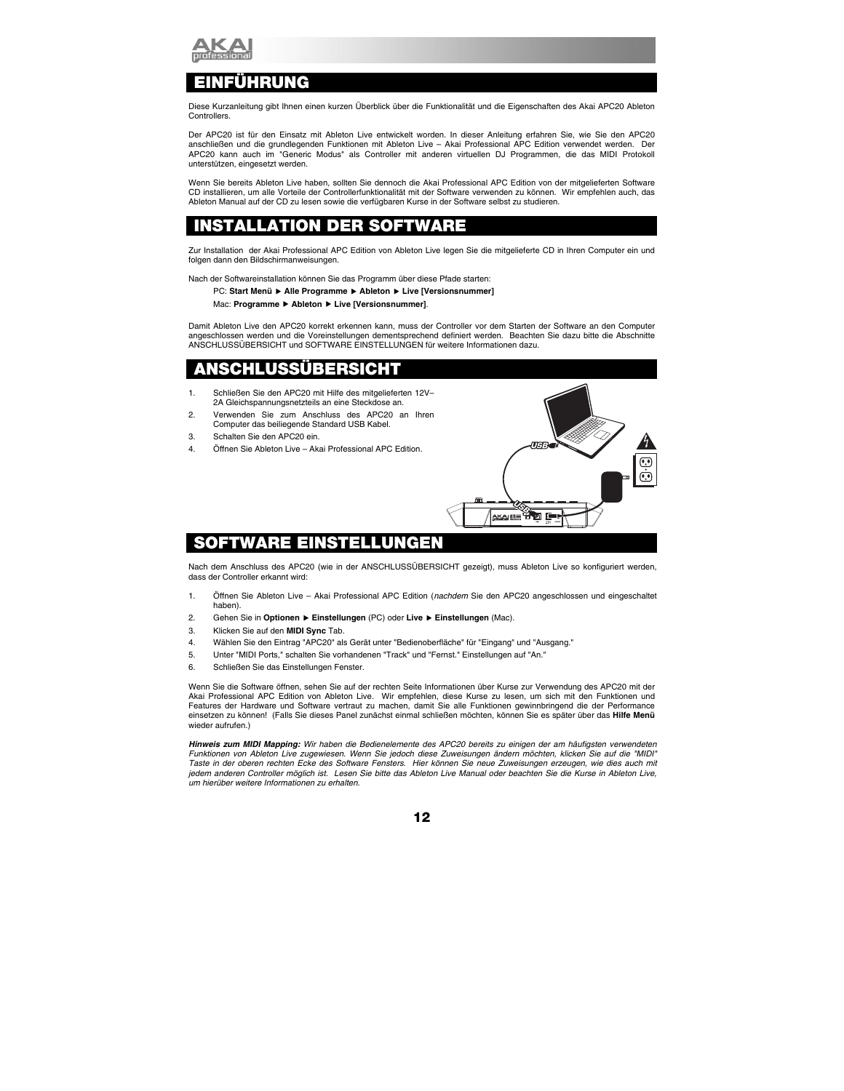

# NFÜHRUNG

Diese Kurzanleitung gibt Ihnen einen kurzen Überblick über die Funktionalität und die Eigenschaften des Akai APC20 Ableton Controllers.

Der APC20 ist für den Einsatz mit Ableton Live entwickelt worden. In dieser Anleitung erfahren Sie, wie Sie den APC20 anschließen und die grundlegenden Funktionen mit Ableton Live – Akai Professional APC Edition verwendet werden. Der APC20 kann auch im "Generic Modus" als Controller mit anderen virtuellen DJ Programmen, die das MIDI Protokoll unterstützen, eingesetzt werden.

Wenn Sie bereits Ableton Live haben, sollten Sie dennoch die Akai Professional APC Edition von der mitgelieferten Software CD installieren, um alle Vorteile der Controllerfunktionalität mit der Software verwenden zu können. Wir empfehlen auch, das Ableton Manual auf der CD zu lesen sowie die verfügbaren Kurse in der Software selbst zu studieren.

# **INSTALLATION DER SOFTWARE**

Zur Installation der Akai Professional APC Edition von Ableton Live legen Sie die mitgelieferte CD in Ihren Computer ein und folgen dann den Bildschirmanweisungen.

Nach der Softwareinstallation können Sie das Programm über diese Pfade starten:

#### PC: Start Menü ▶ Alle Programme ▶ Ableton ▶ Live [Versionsnummer]

#### Mac: **Programme** f **Ableton** f **Live [Versionsnummer]**.

Damit Ableton Live den APC20 korrekt erkennen kann, muss der Controller vor dem Starten der Software an den Computer angeschlossen werden und die Voreinstellungen dementsprechend definiert werden. Beachten Sie dazu bitte die Abschnitte ANSCHLUSSÜBERSICHT und SOFTWARE EINSTELLUNGEN für weitere Informationen dazu.

# **ANSCHLUSSÜBERSICHT**

- 1. Schließen Sie den APC20 mit Hilfe des mitgelieferten 12V– 2A Gleichspannungsnetzteils an eine Steckdose an.
- 2. Verwenden Sie zum Anschluss des APC20 an Ihren Computer das beiliegende Standard USB Kabel.
- 3. Schalten Sie den APC20 ein.
- 4. Öffnen Sie Ableton Live Akai Professional APC Edition.



# **SOFTWARE EINSTELLUNGEN**

Nach dem Anschluss des APC20 (wie in der ANSCHLUSSÜBERSICHT gezeigt), muss Ableton Live so konfiguriert werden, dass der Controller erkannt wird:

- 1. Öffnen Sie Ableton Live Akai Professional APC Edition (*nachdem* Sie den APC20 angeschlossen und eingeschaltet haben).
- 2. Gehen Sie in **Optionen** f **Einstellungen** (PC) oder **Live** f **Einstellungen** (Mac).
- 3. Klicken Sie auf den **MIDI Sync** Tab.
- 4. Wählen Sie den Eintrag "APC20" als Gerät unter "Bedienoberfläche" für "Eingang" und "Ausgang."
- 5. Unter "MIDI Ports," schalten Sie vorhandenen "Track" und "Fernst." Einstellungen auf "An."
- 6. Schließen Sie das Einstellungen Fenster.

Wenn Sie die Software öffnen, sehen Sie auf der rechten Seite Informationen über Kurse zur Verwendung des APC20 mit der Akai Professional APC Edition von Ableton Live. Wir empfehlen, diese Kurse zu lesen, um sich mit den Funktionen und Features der Hardware und Software vertraut zu machen, damit Sie alle Funktionen gewinnbringend die der Performance einsetzen zu können! (Falls Sie dieses Panel zunächst einmal schließen möchten, können Sie es später über das **Hilfe Menü**  wieder aufrufen.)

*Hinweis zum MIDI Mapping: Wir haben die Bedienelemente des APC20 bereits zu einigen der am häufigsten verwendeten Funktionen von Ableton Live zugewiesen. Wenn Sie jedoch diese Zuweisungen ändern möchten, klicken Sie auf die "MIDI" Taste in der oberen rechten Ecke des Software Fensters. Hier können Sie neue Zuweisungen erzeugen, wie dies auch mit jedem anderen Controller möglich ist. Lesen Sie bitte das Ableton Live Manual oder beachten Sie die Kurse in Ableton Live, um hierüber weitere Informationen zu erhalten.*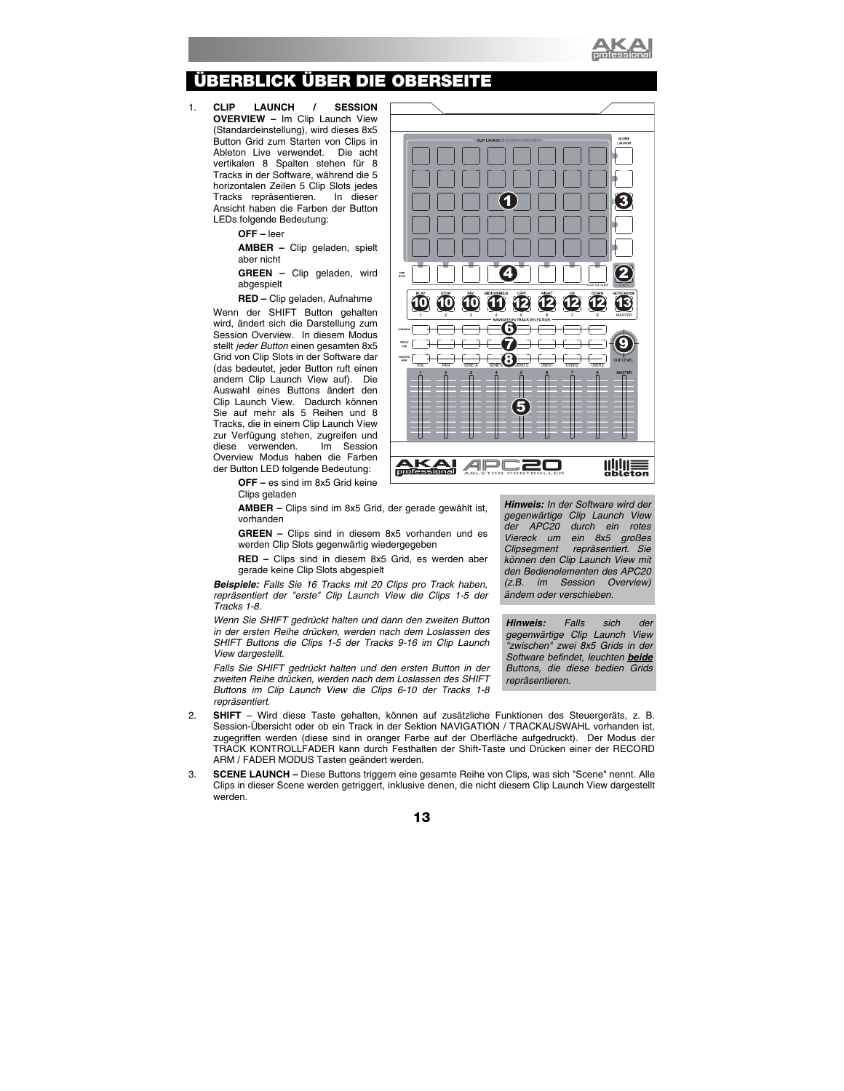

# BERBLICK ÜBER DIE OBERSEIT

1. **CLIP LAUNCH / SESSION OVERVIEW –** Im Clip Launch View (Standardeinstellung), wird dieses 8x5 Button Grid zum Starten von Clips in<br>Ableton Live verwendet. Die acht Ableton Live verwendet. vertikalen 8 Spalten stehen für 8 Tracks in der Software, während die 5 horizontalen Zeilen 5 Clip Slots jedes Tracks repräsentieren. In dieser Ansicht haben die Farben der Button LEDs folgende Bedeutung:

> **OFF –** leer **AMBER –** Clip geladen, spielt aber nicht

**GREEN –** Clip geladen, wird abgespielt

**RED –** Clip geladen, Aufnahme

Wenn der SHIFT Button gehalten wird, ändert sich die Darstellung zum Session Overview. In diesem Modus stellt *jeder Button* einen gesamten 8x5 Grid von Clip Slots in der Software dar (das bedeutet, jeder Button ruft einen andern Clip Launch View auf). Die Auswahl eines Buttons ändert den Clip Launch View. Dadurch können Sie auf mehr als 5 Reihen und 8 Tracks, die in einem Clip Launch View zur Verfügung stehen, zugreifen und diese verwenden. Im Session Overview Modus haben die Farben der Button LED folgende Bedeutung:

> **OFF –** es sind im 8x5 Grid keine Clips geladen

**AMBER –** Clips sind im 8x5 Grid, der gerade gewählt ist, vorhanden

**GREEN –** Clips sind in diesem 8x5 vorhanden und es werden Clip Slots gegenwärtig wiedergegeben

**RED –** Clips sind in diesem 8x5 Grid, es werden aber gerade keine Clip Slots abgespielt

*Beispiele: Falls Sie 16 Tracks mit 20 Clips pro Track haben, repräsentiert der "erste" Clip Launch View die Clips 1-5 der Tracks 1-8.* 

*Wenn Sie SHIFT gedrückt halten und dann den zweiten Button in der ersten Reihe drücken, werden nach dem Loslassen des SHIFT Buttons die Clips 1-5 der Tracks 9-16 im Clip Launch View dargestellt.* 

*Falls Sie SHIFT gedrückt halten und den ersten Button in der zweiten Reihe drücken, werden nach dem Loslassen des SHIFT Buttons im Clip Launch View die Clips 6-10 der Tracks 1-8 repräsentiert.* 

- 2. **SHIFT**  Wird diese Taste gehalten, können auf zusätzliche Funktionen des Steuergeräts, z. B. Session-Übersicht oder ob ein Track in der Sektion NAVIGATION / TRACKAUSWAHL vorhanden ist, zugegriffen werden (diese sind in oranger Farbe auf der Oberfläche aufgedruckt). Der Modus der TRACK KONTROLLFADER kann durch Festhalten der Shift-Taste und Drücken einer der RECORD ARM / FADER MODUS Tasten geändert werden.
- 3. **SCENE LAUNCH** Diese Buttons triggern eine gesamte Reihe von Clips, was sich "Scene" nennt. Alle Clips in dieser Scene werden getriggert, inklusive denen, die nicht diesem Clip Launch View dargestellt werden.

|                              | <b>CLIP LAUNCH / SESSION OVERVIEW</b>                                                                            | SCENE<br>LAUNCH                   |
|------------------------------|------------------------------------------------------------------------------------------------------------------|-----------------------------------|
|                              |                                                                                                                  |                                   |
|                              |                                                                                                                  |                                   |
|                              |                                                                                                                  |                                   |
|                              | $\overline{\mathbf{1}}$                                                                                          | 3                                 |
|                              |                                                                                                                  |                                   |
|                              |                                                                                                                  |                                   |
|                              |                                                                                                                  |                                   |
| $\alpha$ .                   | 4                                                                                                                |                                   |
| stop                         |                                                                                                                  | STOP ALL CLIPS                    |
| Œ<br>$\overline{\mathbf{0}}$ | $\overline{\mathbf{0}}$<br><b>BIGHT</b><br>$\overline{\mathbf{0}}$<br>LEFT<br>凹<br>12<br>12                      | <b>DOMN</b><br>NOT<br><b>KODE</b> |
| $\mathfrak{p}$               | $\overline{4}$<br>$\overline{\overline{\overline{3}}}$<br>6<br>$\overline{5}$<br>7<br>NAVIGATION/TRACK SELECTION | 8<br>MASTER                       |
| латуится                     |                                                                                                                  |                                   |
| SOLO<br>cut                  |                                                                                                                  |                                   |
| RECORD<br>ARM<br>VOL<br>PAN  | $\ddot{\bullet}$<br>SEND A<br>SEND <b>b</b><br><b>SEND C</b><br>USER1<br>USER <sub>2</sub>                       | <b>CUE LEVEL</b><br><b>USER3</b>  |
| 1<br>$\overline{2}$          | 3<br>5<br>$\overline{a}$<br>6<br>7<br>г                                                                          | <b>MASTER</b><br>8                |
|                              |                                                                                                                  |                                   |
|                              |                                                                                                                  |                                   |
|                              |                                                                                                                  |                                   |
|                              | Ш                                                                                                                |                                   |
| ≏                            |                                                                                                                  |                                   |
| professional                 | il li<br>r<br>ay.<br>ABLETON CONTROLLER                                                                          | ableton                           |

*Hinweis: In der Software wird der gegenwärtige Clip Launch View der APC20 durch ein rotes Viereck um ein 8x5 großes Clipsegment repräsentiert. Sie können den Clip Launch View mit den Bedienelementen des APC20 (z.B. im Session Overview) ändern oder verschieben.* 

*Hinweis: Falls sich der gegenwärtige Clip Launch View "zwischen" zwei 8x5 Grids in der Software befindet, leuchten beide Buttons, die diese bedien Grids repräsentieren.*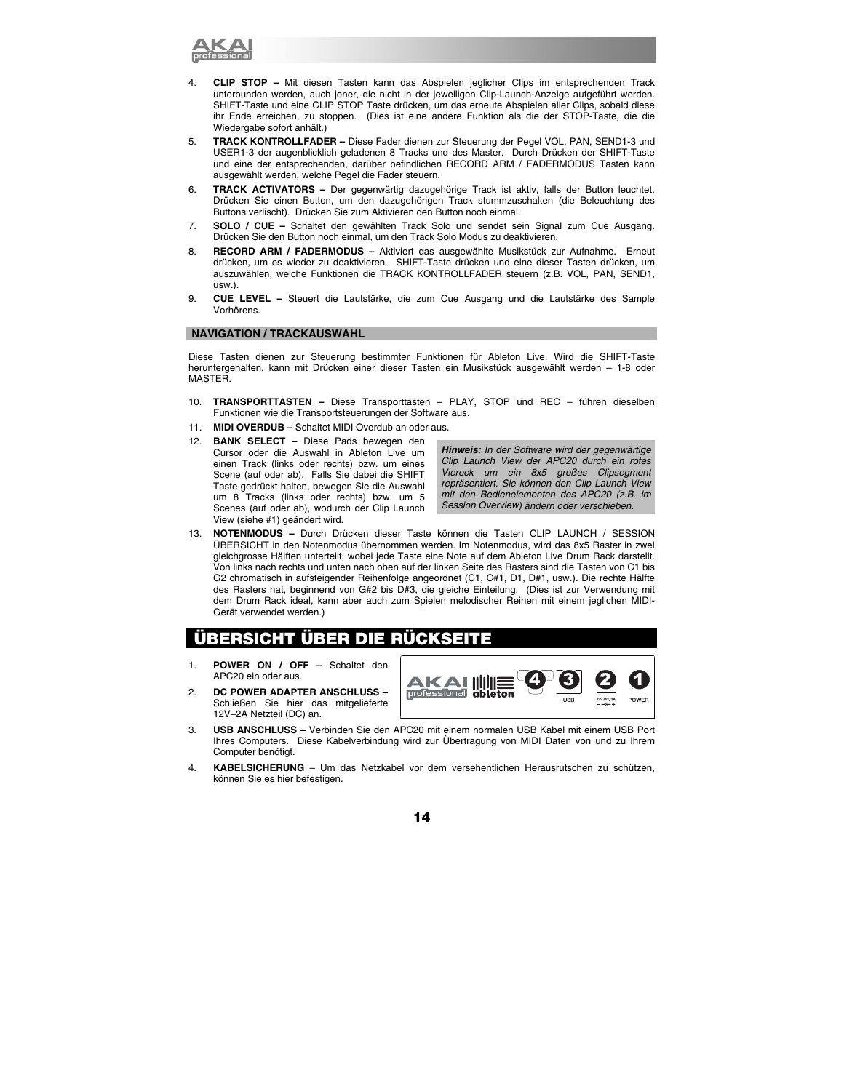

- 4. **CLIP STOP –** Mit diesen Tasten kann das Abspielen jeglicher Clips im entsprechenden Track unterbunden werden, auch jener, die nicht in der jeweiligen Clip-Launch-Anzeige aufgeführt werden. SHIFT-Taste und eine CLIP STOP Taste drücken, um das erneute Abspielen aller Clips, sobald diese ihr Ende erreichen, zu stoppen. (Dies ist eine andere Funktion als die der STOP-Taste, die die Wiedergabe sofort anhält.)
- 5. **TRACK KONTROLLFADER** Diese Fader dienen zur Steuerung der Pegel VOL, PAN, SEND1-3 und USER1-3 der augenblicklich geladenen 8 Tracks und des Master. Durch Drücken der SHIFT-Taste und eine der entsprechenden, darüber befindlichen RECORD ARM / FADERMODUS Tasten kann ausgewählt werden, welche Pegel die Fader steuern.
- 6. **TRACK ACTIVATORS** Der gegenwärtig dazugehörige Track ist aktiv, falls der Button leuchtet. Drücken Sie einen Button, um den dazugehörigen Track stummzuschalten (die Beleuchtung des Buttons verlischt). Drücken Sie zum Aktivieren den Button noch einmal.
- 7. **SOLO / CUE** Schaltet den gewählten Track Solo und sendet sein Signal zum Cue Ausgang. Drücken Sie den Button noch einmal, um den Track Solo Modus zu deaktivieren.
- 8. **RECORD ARM / FADERMODUS** Aktiviert das ausgewählte Musikstück zur Aufnahme. Erneut drücken, um es wieder zu deaktivieren. SHIFT-Taste drücken und eine dieser Tasten drücken, um auszuwählen, welche Funktionen die TRACK KONTROLLFADER steuern (z.B. VOL, PAN, SEND1, usw.).
- 9. **CUE LEVEL** Steuert die Lautstärke, die zum Cue Ausgang und die Lautstärke des Sample Vorhörens.

### **NAVIGATION / TRACKAUSWAHL**

Diese Tasten dienen zur Steuerung bestimmter Funktionen für Ableton Live. Wird die SHIFT-Taste heruntergehalten, kann mit Drücken einer dieser Tasten ein Musikstück ausgewählt werden – 1-8 oder MASTER.

- 10. **TRANSPORTTASTEN** Diese Transporttasten PLAY, STOP und REC führen dieselben Funktionen wie die Transportsteuerungen der Software aus.
- 11. **MIDI OVERDUB –** Schaltet MIDI Overdub an oder aus.
- 12. **BANK SELECT** Diese Pads bewegen den Cursor oder die Auswahl in Ableton Live um einen Track (links oder rechts) bzw. um eines Scene (auf oder ab). Falls Sie dabei die SHIFT Taste gedrückt halten, bewegen Sie die Auswahl um 8 Tracks (links oder rechts) bzw. um 5 Scenes (auf oder ab), wodurch der Clip Launch View (siehe #1) geändert wird.

*Hinweis: In der Software wird der gegenwärtige Clip Launch View der APC20 durch ein rotes Viereck um ein 8x5 großes Clipsegment repräsentiert. Sie können den Clip Launch View mit den Bedienelementen des APC20 (z.B. im Session Overview) ändern oder verschieben.* 

13. **NOTENMODUS –** Durch Drücken dieser Taste können die Tasten CLIP LAUNCH / SESSION ÜBERSICHT in den Notenmodus übernommen werden. Im Notenmodus, wird das 8x5 Raster in zwei gleichgrosse Hälften unterteilt, wobei jede Taste eine Note auf dem Ableton Live Drum Rack darstellt. Von links nach rechts und unten nach oben auf der linken Seite des Rasters sind die Tasten von C1 bis G2 chromatisch in aufsteigender Reihenfolge angeordnet (C1, C#1, D1, D#1, usw.). Die rechte Hälfte des Rasters hat, beginnend von G#2 bis D#3, die gleiche Einteilung.(Dies ist zur Verwendung mit dem Drum Rack ideal, kann aber auch zum Spielen melodischer Reihen mit einem jeglichen MIDI-Gerät verwendet werden.)

# **ÜBERSICHT ÜBER DIE RÜCKSEITE**

- 1. **POWER ON / OFF** Schaltet den APC20 ein oder aus.
- 2. **DC POWER ADAPTER ANSCHLUSS**  Schließen Sie hier das mitgelieferte 12V–2A Netzteil (DC) an.



- 3. **USB ANSCHLUSS –** Verbinden Sie den APC20 mit einem normalen USB Kabel mit einem USB Port Ihres Computers. Diese Kabelverbindung wird zur Übertragung von MIDI Daten von und zu Ihrem Computer benötigt.
- 4. **KABELSICHERUNG**  Um das Netzkabel vor dem versehentlichen Herausrutschen zu schützen, können Sie es hier befestigen.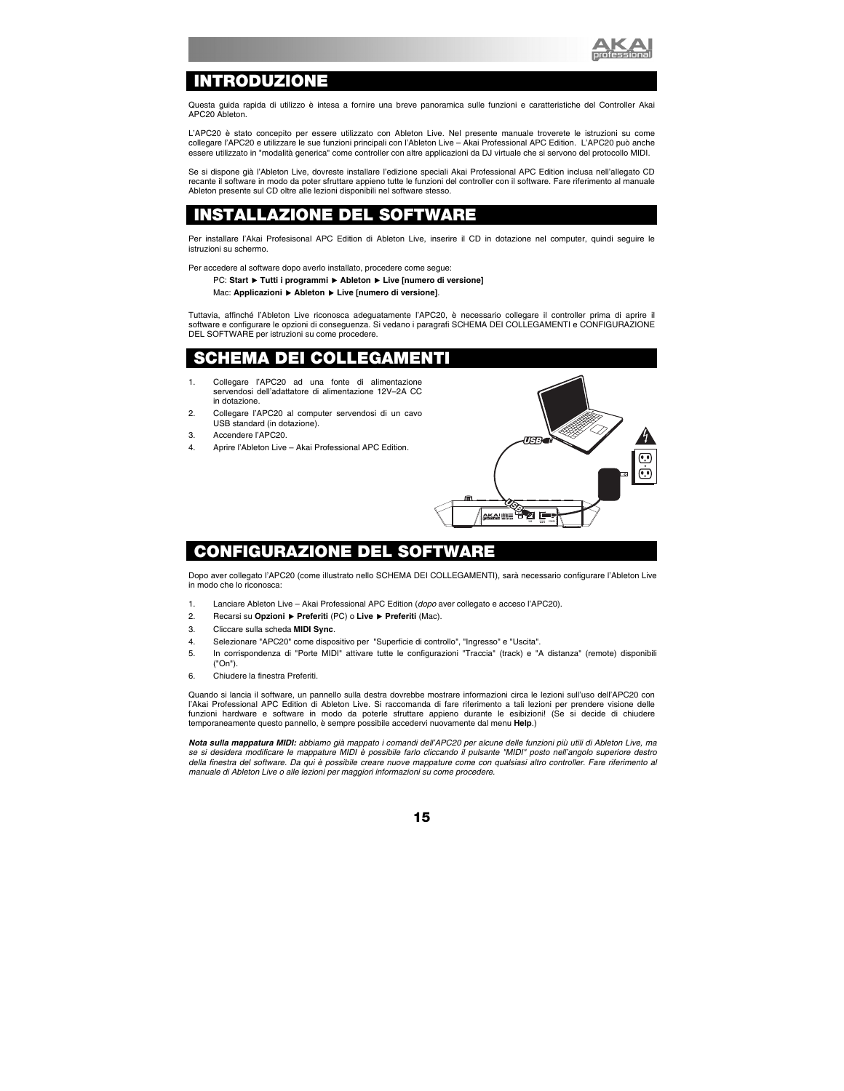

## **INTRODUZIONE**

Questa guida rapida di utilizzo è intesa a fornire una breve panoramica sulle funzioni e caratteristiche del Controller Akai APC20 Ableton.

L'APC20 è stato concepito per essere utilizzato con Ableton Live. Nel presente manuale troverete le istruzioni su come collegare l'APC20 e utilizzare le sue funzioni principali con l'Ableton Live – Akai Professional APC Edition. L'APC20 può anche essere utilizzato in "modalità generica" come controller con altre applicazioni da DJ virtuale che si servono del protocollo MIDI.

Se si dispone già l'Ableton Live, dovreste installare l'edizione speciali Akai Professional APC Edition inclusa nell'allegato CD recante il software in modo da poter sfruttare appieno tutte le funzioni del controller con il software. Fare riferimento al manuale Ableton presente sul CD oltre alle lezioni disponibili nel software stesso.

# **INSTALLAZIONE DEL SOFTWARE**

Per installare l'Akai Profesisonal APC Edition di Ableton Live, inserire il CD in dotazione nel computer, quindi seguire le istruzioni su schermo.

Per accedere al software dopo averlo installato, procedere come segue:

PC: Start ▶ Tutti i programmi ▶ Ableton ▶ Live [numero di versione]

Mac: **Applicazioni** f **Ableton** f **Live [numero di versione]**.

Tuttavia, affinché l'Ableton Live riconosca adeguatamente l'APC20, è necessario collegare il controller prima di aprire il software e configurare le opzioni di conseguenza. Si vedano i paragrafi SCHEMA DEI COLLEGAMENTI e CONFIGURAZIONE DEL SOFTWARE per istruzioni su come procedere.

# **SCHEMA DEI COLLEGAMENTI**

- 1. Collegare l'APC20 ad una fonte di alimentazione servendosi dell'adattatore di alimentazione 12V–2A CC in dotazione.
- 2. Collegare l'APC20 al computer servendosi di un cavo USB standard (in dotazione).
- 3. Accendere l'APC20.
- 4. Aprire l'Ableton Live Akai Professional APC Edition.



# **CONFIGURAZIONE DEL SO**

Dopo aver collegato l'APC20 (come illustrato nello SCHEMA DEI COLLEGAMENTI), sarà necessario configurare l'Ableton Live in modo che lo riconosca:

- 1. Lanciare Ableton Live Akai Professional APC Edition (*dopo* aver collegato e acceso l'APC20).
- 2. Recarsi su **Opzioni** f **Preferiti** (PC) o **Live** f **Preferiti** (Mac).
- 3. Cliccare sulla scheda **MIDI Sync**.
- 4. Selezionare "APC20" come dispositivo per "Superficie di controllo", "Ingresso" e "Uscita".
- 5. In corrispondenza di "Porte MIDI" attivare tutte le configurazioni "Traccia" (track) e "A distanza" (remote) disponibili ("On").
- 6. Chiudere la finestra Preferiti.

Quando si lancia il software, un pannello sulla destra dovrebbe mostrare informazioni circa le lezioni sull'uso dell'APC20 con l'Akai Professional APC Edition di Ableton Live. Si raccomanda di fare riferimento a tali lezioni per prendere visione delle funzioni hardware e software in modo da poterle sfruttare appieno durante le esibizioni! (Se si decide di chiudere temporaneamente questo pannello, è sempre possibile accedervi nuovamente dal menu **Help**.)

*Nota sulla mappatura MIDI: abbiamo già mappato i comandi dell'APC20 per alcune delle funzioni più utili di Ableton Live, ma se si desidera modificare le mappature MIDI è possibile farlo cliccando il pulsante "MIDI" posto nell'angolo superiore destro della finestra del software. Da qui è possibile creare nuove mappature come con qualsiasi altro controller. Fare riferimento al manuale di Ableton Live o alle lezioni per maggiori informazioni su come procedere.*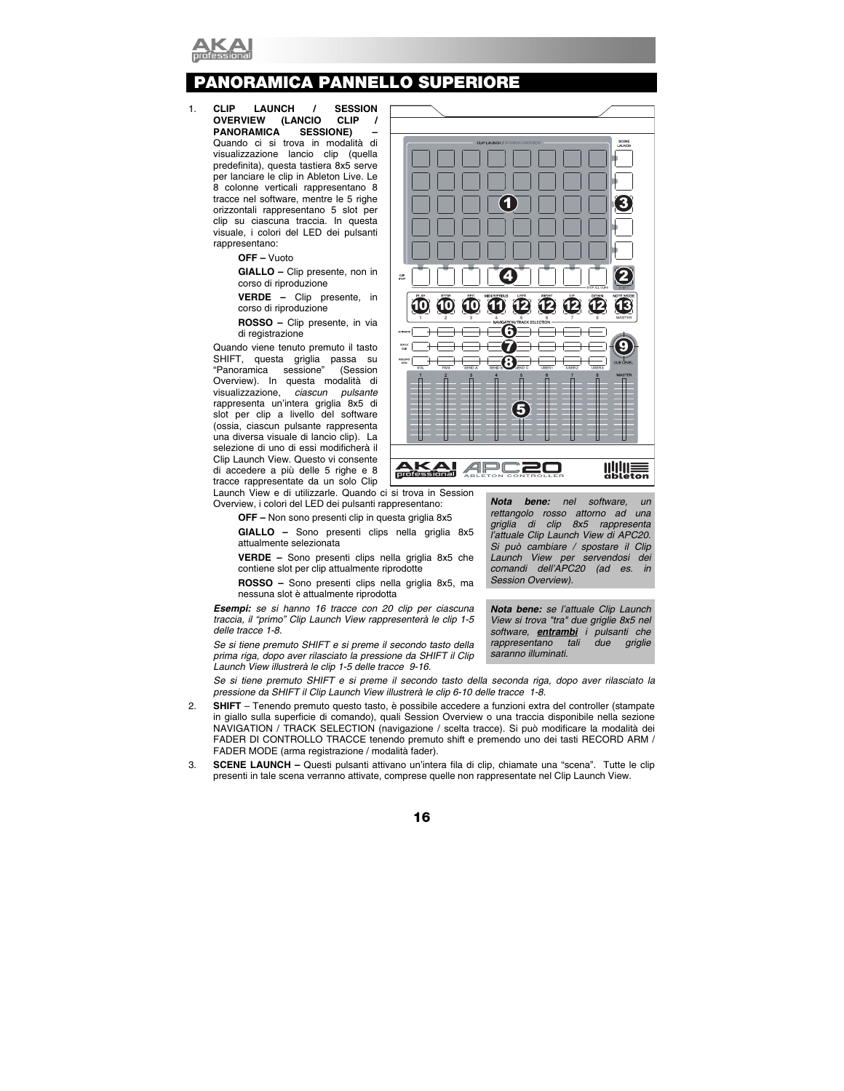

# **PANORAMICA PANNELLO SUPERIORE**

1. **CLIP LAUNCH / SESSION OVERVIEW (LANCIO CLIP / PANORAMICA SESSIONE) –** Quando ci si trova in modalità di visualizzazione lancio clip (quella predefinita), questa tastiera 8x5 serve per lanciare le clip in Ableton Live. Le 8 colonne verticali rappresentano 8 tracce nel software, mentre le 5 righe orizzontali rappresentano 5 slot per clip su ciascuna traccia. In questa visuale, i colori del LED dei pulsanti rappresentano:

**OFF –** Vuoto

**GIALLO –** Clip presente, non in corso di riproduzione

**VERDE –** Clip presente, in corso di riproduzione

**ROSSO –** Clip presente, in via di registrazione

Quando viene tenuto premuto il tasto SHIFT, questa griglia passa su "Panoramica sessione" (Session Overview). In questa modalità di visualizzazione, *ciascun pulsante* rappresenta un'intera griglia 8x5 di slot per clip a livello del software (ossia, ciascun pulsante rappresenta una diversa visuale di lancio clip). La selezione di uno di essi modificherà il Clip Launch View. Questo vi consente di accedere a più delle 5 righe e 8 tracce rappresentate da un solo Clip



Launch View e di utilizzarle. Quando ci si trova in Session Overview, i colori del LED dei pulsanti rappresentano:

**OFF –** Non sono presenti clip in questa griglia 8x5

**GIALLO –** Sono presenti clips nella griglia 8x5 attualmente selezionata

**VERDE –** Sono presenti clips nella griglia 8x5 che contiene slot per clip attualmente riprodotte

**ROSSO –** Sono presenti clips nella griglia 8x5, ma nessuna slot è attualmente riprodotta

*Esempi: se si hanno 16 tracce con 20 clip per ciascuna traccia, il "primo" Clip Launch View rappresenterà le clip 1-5 delle tracce 1-8.* 

*Se si tiene premuto SHIFT e si preme il secondo tasto della prima riga, dopo aver rilasciato la pressione da SHIFT il Clip Launch View illustrerà le clip 1-5 delle tracce 9-16.* 

*Nota bene: nel software, un rettangolo rosso attorno ad una griglia di clip 8x5 rappresenta l'attuale Clip Launch View di APC20. Si può cambiare / spostare il Clip Launch View per servendosi dei comandi dell'APC20 (ad es. in Session Overview).*

*Nota bene: se l'attuale Clip Launch View si trova "tra" due griglie 8x5 nel software, entrambi i pulsanti che rappresentano tali due griglie saranno illuminati.* 

*Se si tiene premuto SHIFT e si preme il secondo tasto della seconda riga, dopo aver rilasciato la pressione da SHIFT il Clip Launch View illustrerà le clip 6-10 delle tracce 1-8.* 

- 2. **SHIFT**  Tenendo premuto questo tasto, è possibile accedere a funzioni extra del controller (stampate in giallo sulla superficie di comando), quali Session Overview o una traccia disponibile nella sezione NAVIGATION / TRACK SELECTION (navigazione / scelta tracce). Si può modificare la modalità dei FADER DI CONTROLLO TRACCE tenendo premuto shift e premendo uno dei tasti RECORD ARM / FADER MODE (arma registrazione / modalità fader).
- 3. **SCENE LAUNCH** Questi pulsanti attivano un'intera fila di clip, chiamate una "scena". Tutte le clip presenti in tale scena verranno attivate, comprese quelle non rappresentate nel Clip Launch View.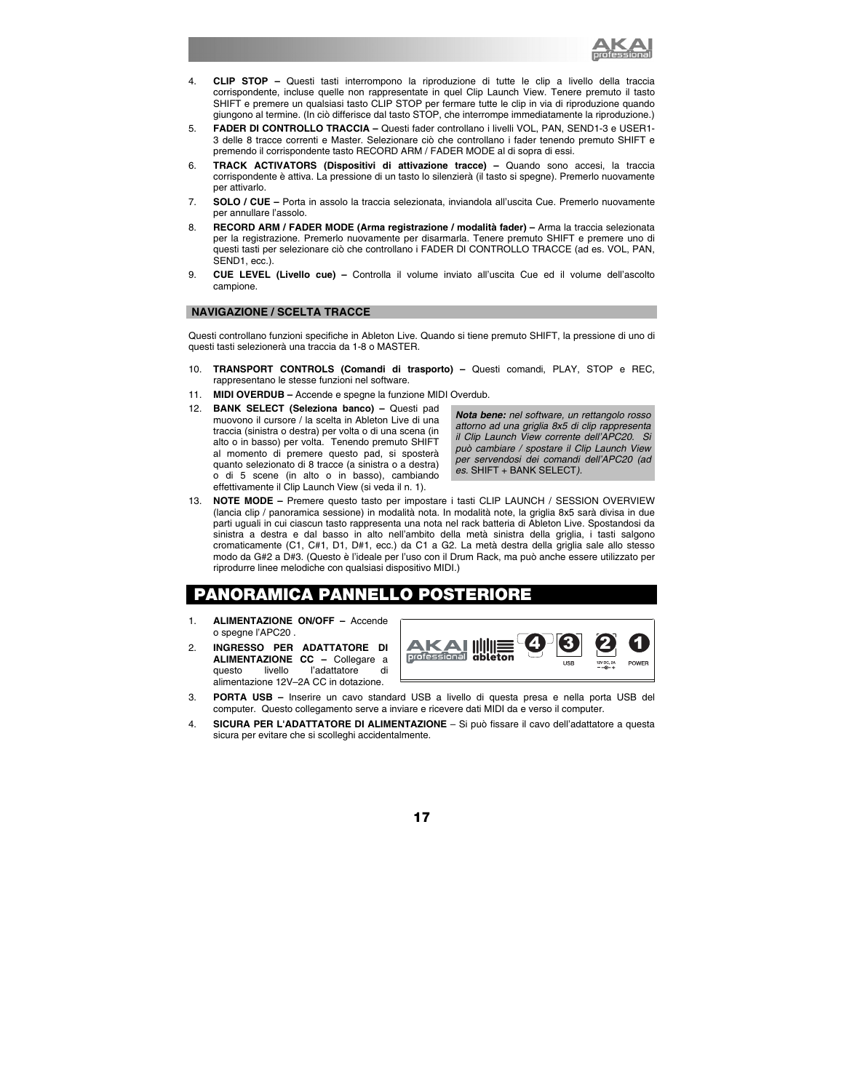

- 4. **CLIP STOP –** Questi tasti interrompono la riproduzione di tutte le clip a livello della traccia corrispondente, incluse quelle non rappresentate in quel Clip Launch View. Tenere premuto il tasto SHIFT e premere un qualsiasi tasto CLIP STOP per fermare tutte le clip in via di riproduzione quando giungono al termine. (In ciò differisce dal tasto STOP, che interrompe immediatamente la riproduzione.)
- 5. **FADER DI CONTROLLO TRACCIA** Questi fader controllano i livelli VOL, PAN, SEND1-3 e USER1- 3 delle 8 tracce correnti e Master. Selezionare ciò che controllano i fader tenendo premuto SHIFT e premendo il corrispondente tasto RECORD ARM / FADER MODE al di sopra di essi.
- 6. **TRACK ACTIVATORS (Dispositivi di attivazione tracce)** Quando sono accesi, la traccia corrispondente è attiva. La pressione di un tasto lo silenzierà (il tasto si spegne). Premerlo nuovamente per attivarlo.
- 7. **SOLO / CUE** Porta in assolo la traccia selezionata, inviandola all'uscita Cue. Premerlo nuovamente per annullare l'assolo.
- 8. **RECORD ARM / FADER MODE (Arma registrazione / modalità fader)** Arma la traccia selezionata per la registrazione. Premerlo nuovamente per disarmarla. Tenere premuto SHIFT e premere uno di questi tasti per selezionare ciò che controllano i FADER DI CONTROLLO TRACCE (ad es. VOL, PAN, SEND1, ecc.).
- 9. **CUE LEVEL (Livello cue)** Controlla il volume inviato all'uscita Cue ed il volume dell'ascolto campione.

### **NAVIGAZIONE / SCELTA TRACCE**

Questi controllano funzioni specifiche in Ableton Live. Quando si tiene premuto SHIFT, la pressione di uno di questi tasti selezionerà una traccia da 1-8 o MASTER.

- 10. **TRANSPORT CONTROLS (Comandi di trasporto)** Questi comandi, PLAY, STOP e REC, rappresentano le stesse funzioni nel software.
- 11. **MIDI OVERDUB –** Accende e spegne la funzione MIDI Overdub.
- 12. **BANK SELECT (Seleziona banco)** Questi pad muovono il cursore / la scelta in Ableton Live di una traccia (sinistra o destra) per volta o di una scena (in alto o in basso) per volta. Tenendo premuto SHIFT al momento di premere questo pad, si sposterà quanto selezionato di 8 tracce (a sinistra o a destra) o di 5 scene (in alto o in basso), cambiando effettivamente il Clip Launch View (si veda il n. 1).

*Nota bene: nel software, un rettangolo rosso attorno ad una griglia 8x5 di clip rappresenta il Clip Launch View corrente dell'APC20. Si può cambiare / spostare il Clip Launch View per servendosi dei comandi dell'APC20 (ad es.* SHIFT + BANK SELECT*).* 

13. **NOTE MODE –** Premere questo tasto per impostare i tasti CLIP LAUNCH / SESSION OVERVIEW (lancia clip / panoramica sessione) in modalità nota. In modalità note, la griglia 8x5 sarà divisa in due parti uguali in cui ciascun tasto rappresenta una nota nel rack batteria di Ableton Live. Spostandosi da sinistra a destra e dal basso in alto nell'ambito della metà sinistra della griglia, i tasti salgono cromaticamente (C1, C#1, D1, D#1, ecc.) da C1 a G2. La metà destra della griglia sale allo stesso modo da G#2 a D#3. (Questo è l'ideale per l'uso con il Drum Rack, ma può anche essere utilizzato per riprodurre linee melodiche con qualsiasi dispositivo MIDI.)

### **PANORAMICA PANNELLO POSTERIORE**

- 1. **ALIMENTAZIONE ON/OFF** Accende o spegne l'APC20 .
- 2. **INGRESSO PER ADATTATORE DI ALIMENTAZIONE CC –** Collegare a questo livello l'adattatore di alimentazione 12V–2A CC in dotazione.



- 3. **PORTA USB –** Inserire un cavo standard USB a livello di questa presa e nella porta USB del computer. Questo collegamento serve a inviare e ricevere dati MIDI da e verso il computer.
- 4. **SICURA PER L'ADATTATORE DI ALIMENTAZIONE** Si può fissare il cavo dell'adattatore a questa sicura per evitare che si scolleghi accidentalmente.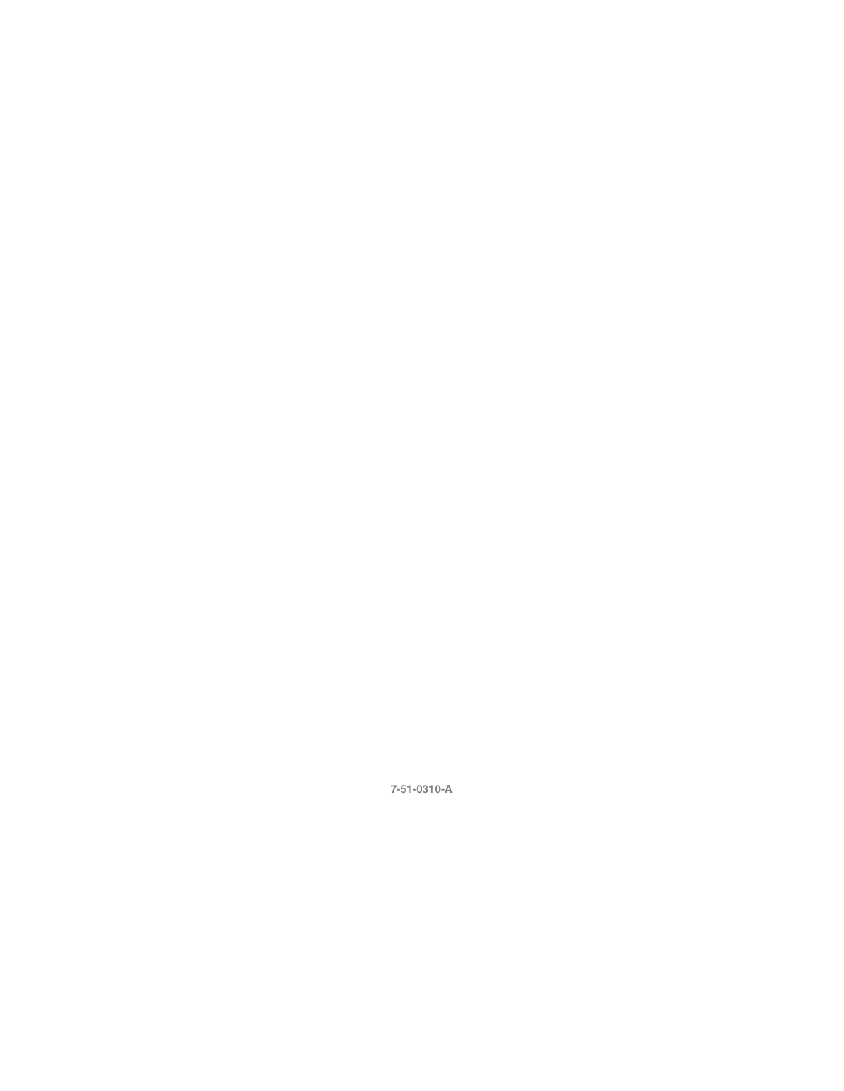### **7-51-0310-A**